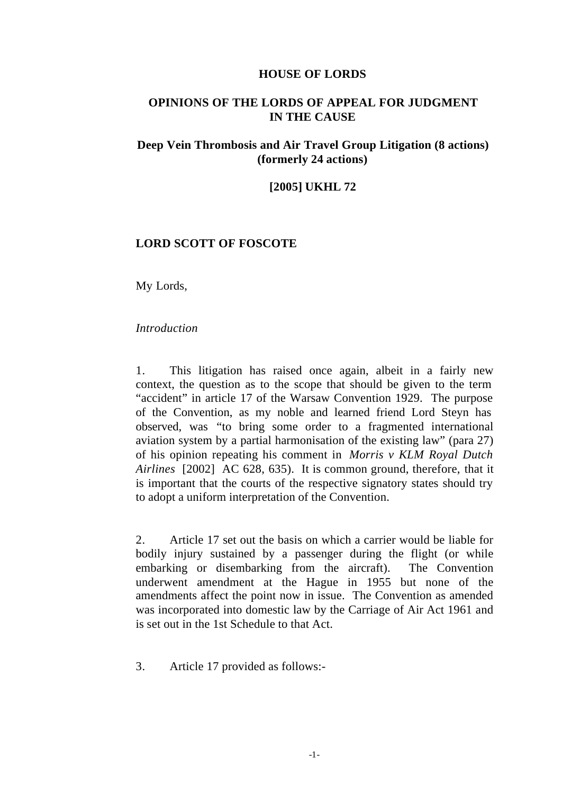#### **HOUSE OF LORDS**

# **OPINIONS OF THE LORDS OF APPEAL FOR JUDGMENT IN THE CAUSE**

# **Deep Vein Thrombosis and Air Travel Group Litigation (8 actions) (formerly 24 actions)**

### **[2005] UKHL 72**

## **LORD SCOTT OF FOSCOTE**

My Lords,

### *Introduction*

1. This litigation has raised once again, albeit in a fairly new context, the question as to the scope that should be given to the term "accident" in article 17 of the Warsaw Convention 1929. The purpose of the Convention, as my noble and learned friend Lord Steyn has observed, was "to bring some order to a fragmented international aviation system by a partial harmonisation of the existing law" (para 27) of his opinion repeating his comment in *Morris v KLM Royal Dutch Airlines* [2002] AC 628, 635). It is common ground, therefore, that it is important that the courts of the respective signatory states should try to adopt a uniform interpretation of the Convention.

2. Article 17 set out the basis on which a carrier would be liable for bodily injury sustained by a passenger during the flight (or while embarking or disembarking from the aircraft). The Convention underwent amendment at the Hague in 1955 but none of the amendments affect the point now in issue. The Convention as amended was incorporated into domestic law by the Carriage of Air Act 1961 and is set out in the 1st Schedule to that Act.

3. Article 17 provided as follows:-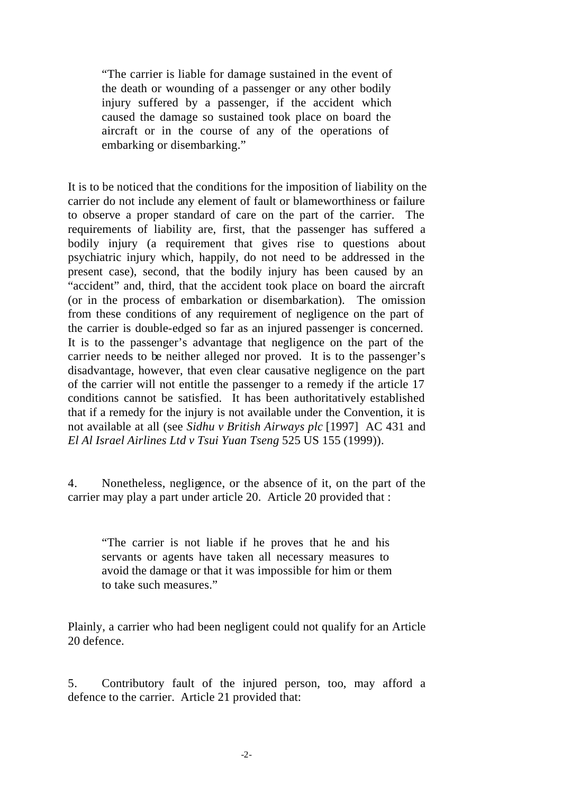"The carrier is liable for damage sustained in the event of the death or wounding of a passenger or any other bodily injury suffered by a passenger, if the accident which caused the damage so sustained took place on board the aircraft or in the course of any of the operations of embarking or disembarking."

It is to be noticed that the conditions for the imposition of liability on the carrier do not include any element of fault or blameworthiness or failure to observe a proper standard of care on the part of the carrier. The requirements of liability are, first, that the passenger has suffered a bodily injury (a requirement that gives rise to questions about psychiatric injury which, happily, do not need to be addressed in the present case), second, that the bodily injury has been caused by an "accident" and, third, that the accident took place on board the aircraft (or in the process of embarkation or disembarkation). The omission from these conditions of any requirement of negligence on the part of the carrier is double-edged so far as an injured passenger is concerned. It is to the passenger's advantage that negligence on the part of the carrier needs to be neither alleged nor proved. It is to the passenger's disadvantage, however, that even clear causative negligence on the part of the carrier will not entitle the passenger to a remedy if the article 17 conditions cannot be satisfied. It has been authoritatively established that if a remedy for the injury is not available under the Convention, it is not available at all (see *Sidhu v British Airways plc* [1997] AC 431 and *El Al Israel Airlines Ltd v Tsui Yuan Tseng* 525 US 155 (1999)).

4. Nonetheless, negligence, or the absence of it, on the part of the carrier may play a part under article 20. Article 20 provided that :

"The carrier is not liable if he proves that he and his servants or agents have taken all necessary measures to avoid the damage or that it was impossible for him or them to take such measures."

Plainly, a carrier who had been negligent could not qualify for an Article 20 defence.

5. Contributory fault of the injured person, too, may afford a defence to the carrier. Article 21 provided that: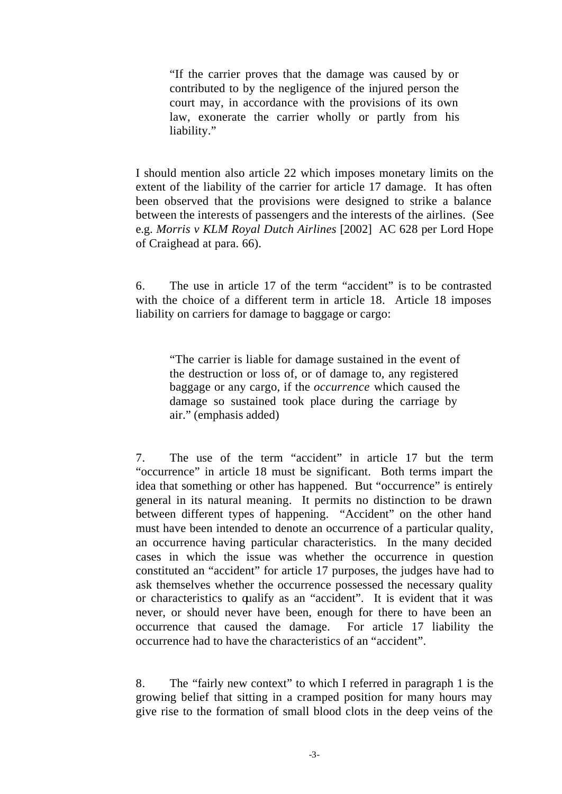"If the carrier proves that the damage was caused by or contributed to by the negligence of the injured person the court may, in accordance with the provisions of its own law, exonerate the carrier wholly or partly from his liability."

I should mention also article 22 which imposes monetary limits on the extent of the liability of the carrier for article 17 damage. It has often been observed that the provisions were designed to strike a balance between the interests of passengers and the interests of the airlines. (See e.g. *Morris v KLM Royal Dutch Airlines* [2002] AC 628 per Lord Hope of Craighead at para. 66).

6. The use in article 17 of the term "accident" is to be contrasted with the choice of a different term in article 18. Article 18 imposes liability on carriers for damage to baggage or cargo:

"The carrier is liable for damage sustained in the event of the destruction or loss of, or of damage to, any registered baggage or any cargo, if the *occurrence* which caused the damage so sustained took place during the carriage by air." (emphasis added)

7. The use of the term "accident" in article 17 but the term "occurrence" in article 18 must be significant. Both terms impart the idea that something or other has happened. But "occurrence" is entirely general in its natural meaning. It permits no distinction to be drawn between different types of happening. "Accident" on the other hand must have been intended to denote an occurrence of a particular quality, an occurrence having particular characteristics. In the many decided cases in which the issue was whether the occurrence in question constituted an "accident" for article 17 purposes, the judges have had to ask themselves whether the occurrence possessed the necessary quality or characteristics to qualify as an "accident". It is evident that it was never, or should never have been, enough for there to have been an occurrence that caused the damage. For article 17 liability the occurrence had to have the characteristics of an "accident".

8. The "fairly new context" to which I referred in paragraph 1 is the growing belief that sitting in a cramped position for many hours may give rise to the formation of small blood clots in the deep veins of the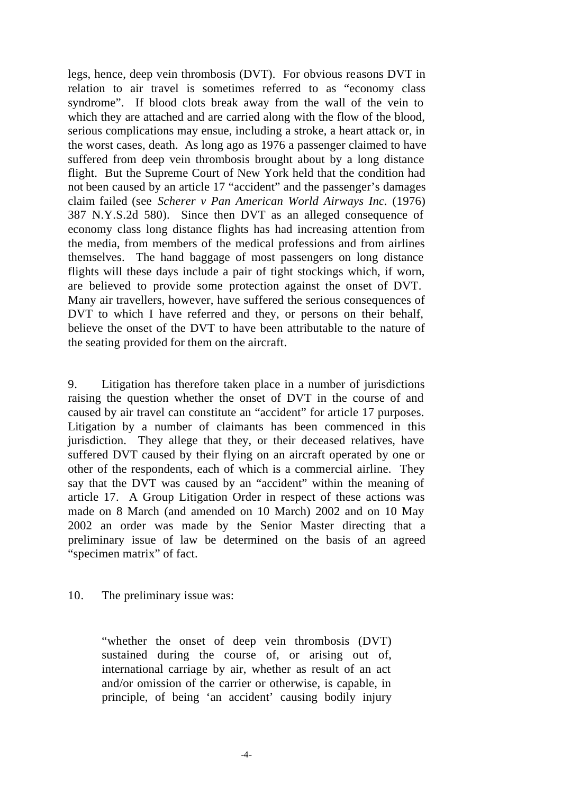legs, hence, deep vein thrombosis (DVT). For obvious reasons DVT in relation to air travel is sometimes referred to as "economy class syndrome". If blood clots break away from the wall of the vein to which they are attached and are carried along with the flow of the blood, serious complications may ensue, including a stroke, a heart attack or, in the worst cases, death. As long ago as 1976 a passenger claimed to have suffered from deep vein thrombosis brought about by a long distance flight. But the Supreme Court of New York held that the condition had not been caused by an article 17 "accident" and the passenger's damages claim failed (see *Scherer v Pan American World Airways Inc.* (1976) 387 N.Y.S.2d 580). Since then DVT as an alleged consequence of economy class long distance flights has had increasing attention from the media, from members of the medical professions and from airlines themselves. The hand baggage of most passengers on long distance flights will these days include a pair of tight stockings which, if worn, are believed to provide some protection against the onset of DVT. Many air travellers, however, have suffered the serious consequences of DVT to which I have referred and they, or persons on their behalf, believe the onset of the DVT to have been attributable to the nature of the seating provided for them on the aircraft.

9. Litigation has therefore taken place in a number of jurisdictions raising the question whether the onset of DVT in the course of and caused by air travel can constitute an "accident" for article 17 purposes. Litigation by a number of claimants has been commenced in this jurisdiction. They allege that they, or their deceased relatives, have suffered DVT caused by their flying on an aircraft operated by one or other of the respondents, each of which is a commercial airline. They say that the DVT was caused by an "accident" within the meaning of article 17. A Group Litigation Order in respect of these actions was made on 8 March (and amended on 10 March) 2002 and on 10 May 2002 an order was made by the Senior Master directing that a preliminary issue of law be determined on the basis of an agreed "specimen matrix" of fact.

## 10. The preliminary issue was:

"whether the onset of deep vein thrombosis (DVT) sustained during the course of, or arising out of, international carriage by air, whether as result of an act and/or omission of the carrier or otherwise, is capable, in principle, of being 'an accident' causing bodily injury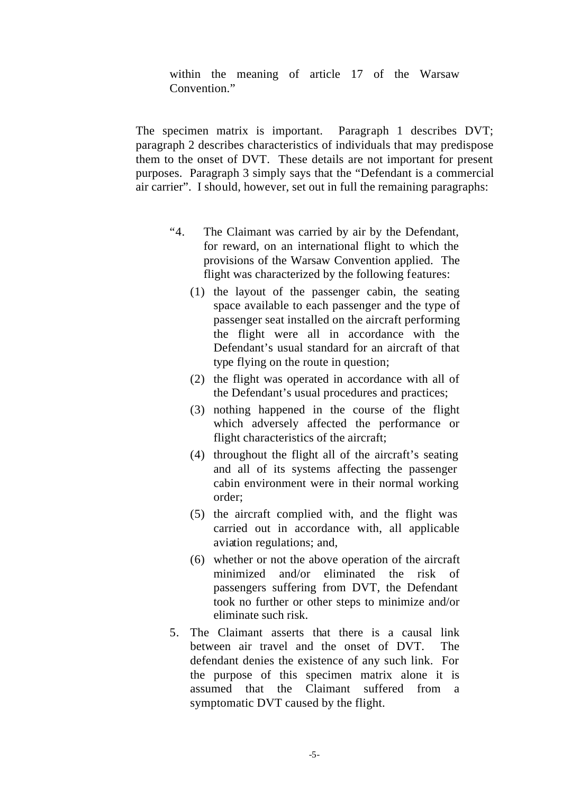within the meaning of article 17 of the Warsaw Convention."

The specimen matrix is important. Paragraph 1 describes DVT; paragraph 2 describes characteristics of individuals that may predispose them to the onset of DVT. These details are not important for present purposes. Paragraph 3 simply says that the "Defendant is a commercial air carrier". I should, however, set out in full the remaining paragraphs:

- "4. The Claimant was carried by air by the Defendant, for reward, on an international flight to which the provisions of the Warsaw Convention applied. The flight was characterized by the following features:
	- (1) the layout of the passenger cabin, the seating space available to each passenger and the type of passenger seat installed on the aircraft performing the flight were all in accordance with the Defendant's usual standard for an aircraft of that type flying on the route in question;
	- (2) the flight was operated in accordance with all of the Defendant's usual procedures and practices;
	- (3) nothing happened in the course of the flight which adversely affected the performance or flight characteristics of the aircraft;
	- (4) throughout the flight all of the aircraft's seating and all of its systems affecting the passenger cabin environment were in their normal working order;
	- (5) the aircraft complied with, and the flight was carried out in accordance with, all applicable aviation regulations; and,
	- (6) whether or not the above operation of the aircraft minimized and/or eliminated the risk of passengers suffering from DVT, the Defendant took no further or other steps to minimize and/or eliminate such risk.
- 5. The Claimant asserts that there is a causal link between air travel and the onset of DVT. The defendant denies the existence of any such link. For the purpose of this specimen matrix alone it is assumed that the Claimant suffered from a symptomatic DVT caused by the flight.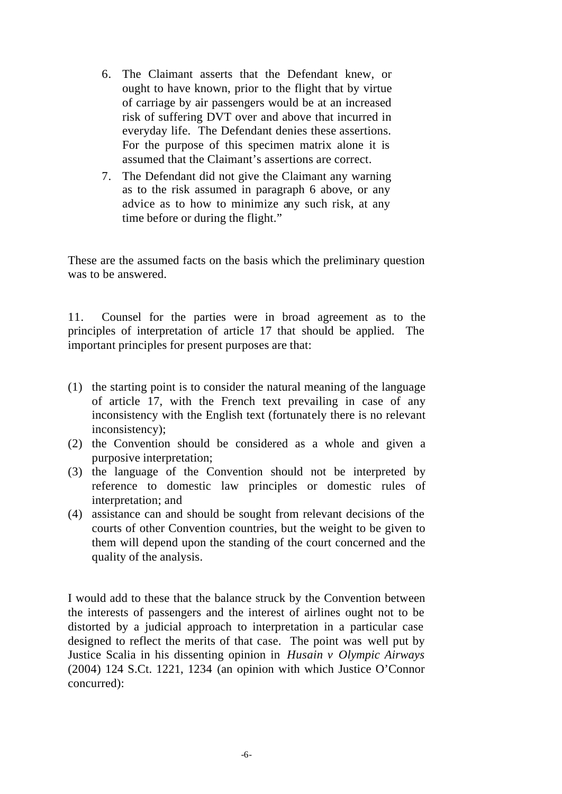- 6. The Claimant asserts that the Defendant knew, or ought to have known, prior to the flight that by virtue of carriage by air passengers would be at an increased risk of suffering DVT over and above that incurred in everyday life. The Defendant denies these assertions. For the purpose of this specimen matrix alone it is assumed that the Claimant's assertions are correct.
- 7. The Defendant did not give the Claimant any warning as to the risk assumed in paragraph 6 above, or any advice as to how to minimize any such risk, at any time before or during the flight."

These are the assumed facts on the basis which the preliminary question was to be answered.

11. Counsel for the parties were in broad agreement as to the principles of interpretation of article 17 that should be applied. The important principles for present purposes are that:

- (1) the starting point is to consider the natural meaning of the language of article 17, with the French text prevailing in case of any inconsistency with the English text (fortunately there is no relevant inconsistency);
- (2) the Convention should be considered as a whole and given a purposive interpretation;
- (3) the language of the Convention should not be interpreted by reference to domestic law principles or domestic rules of interpretation; and
- (4) assistance can and should be sought from relevant decisions of the courts of other Convention countries, but the weight to be given to them will depend upon the standing of the court concerned and the quality of the analysis.

I would add to these that the balance struck by the Convention between the interests of passengers and the interest of airlines ought not to be distorted by a judicial approach to interpretation in a particular case designed to reflect the merits of that case. The point was well put by Justice Scalia in his dissenting opinion in *Husain v Olympic Airways*  (2004) 124 S.Ct. 1221, 1234 (an opinion with which Justice O'Connor concurred):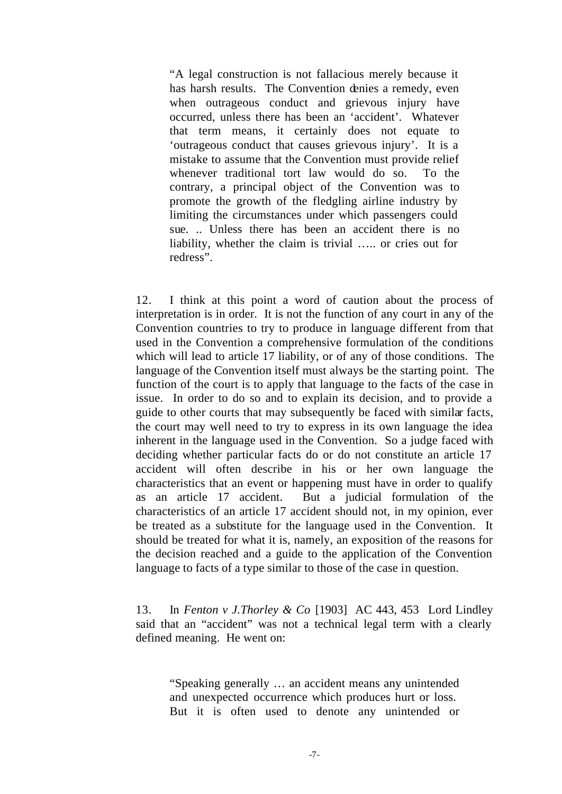"A legal construction is not fallacious merely because it has harsh results. The Convention denies a remedy, even when outrageous conduct and grievous injury have occurred, unless there has been an 'accident'. Whatever that term means, it certainly does not equate to 'outrageous conduct that causes grievous injury'. It is a mistake to assume that the Convention must provide relief whenever traditional tort law would do so. To the contrary, a principal object of the Convention was to promote the growth of the fledgling airline industry by limiting the circumstances under which passengers could sue. .. Unless there has been an accident there is no liability, whether the claim is trivial ….. or cries out for redress".

12. I think at this point a word of caution about the process of interpretation is in order. It is not the function of any court in any of the Convention countries to try to produce in language different from that used in the Convention a comprehensive formulation of the conditions which will lead to article 17 liability, or of any of those conditions. The language of the Convention itself must always be the starting point. The function of the court is to apply that language to the facts of the case in issue. In order to do so and to explain its decision, and to provide a guide to other courts that may subsequently be faced with similar facts, the court may well need to try to express in its own language the idea inherent in the language used in the Convention. So a judge faced with deciding whether particular facts do or do not constitute an article 17 accident will often describe in his or her own language the characteristics that an event or happening must have in order to qualify as an article 17 accident. But a judicial formulation of the characteristics of an article 17 accident should not, in my opinion, ever be treated as a substitute for the language used in the Convention. It should be treated for what it is, namely, an exposition of the reasons for the decision reached and a guide to the application of the Convention language to facts of a type similar to those of the case in question.

13. In *Fenton v J.Thorley & Co* [1903] AC 443, 453 Lord Lindley said that an "accident" was not a technical legal term with a clearly defined meaning. He went on:

"Speaking generally … an accident means any unintended and unexpected occurrence which produces hurt or loss. But it is often used to denote any unintended or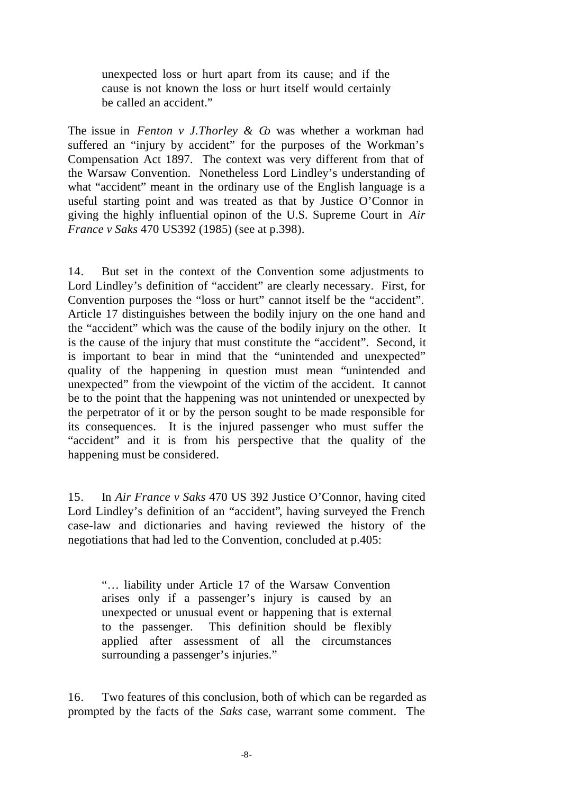unexpected loss or hurt apart from its cause; and if the cause is not known the loss or hurt itself would certainly be called an accident."

The issue in *Fenton v J.Thorley & Co* was whether a workman had suffered an "injury by accident" for the purposes of the Workman's Compensation Act 1897. The context was very different from that of the Warsaw Convention. Nonetheless Lord Lindley's understanding of what "accident" meant in the ordinary use of the English language is a useful starting point and was treated as that by Justice O'Connor in giving the highly influential opinon of the U.S. Supreme Court in *Air France v Saks* 470 US392 (1985) (see at p.398).

14. But set in the context of the Convention some adjustments to Lord Lindley's definition of "accident" are clearly necessary. First, for Convention purposes the "loss or hurt" cannot itself be the "accident". Article 17 distinguishes between the bodily injury on the one hand and the "accident" which was the cause of the bodily injury on the other. It is the cause of the injury that must constitute the "accident". Second, it is important to bear in mind that the "unintended and unexpected" quality of the happening in question must mean "unintended and unexpected" from the viewpoint of the victim of the accident. It cannot be to the point that the happening was not unintended or unexpected by the perpetrator of it or by the person sought to be made responsible for its consequences. It is the injured passenger who must suffer the "accident" and it is from his perspective that the quality of the happening must be considered.

15. In *Air France v Saks* 470 US 392 Justice O'Connor, having cited Lord Lindley's definition of an "accident", having surveyed the French case-law and dictionaries and having reviewed the history of the negotiations that had led to the Convention, concluded at p.405:

"… liability under Article 17 of the Warsaw Convention arises only if a passenger's injury is caused by an unexpected or unusual event or happening that is external to the passenger. This definition should be flexibly applied after assessment of all the circumstances surrounding a passenger's injuries."

16. Two features of this conclusion, both of which can be regarded as prompted by the facts of the *Saks* case, warrant some comment. The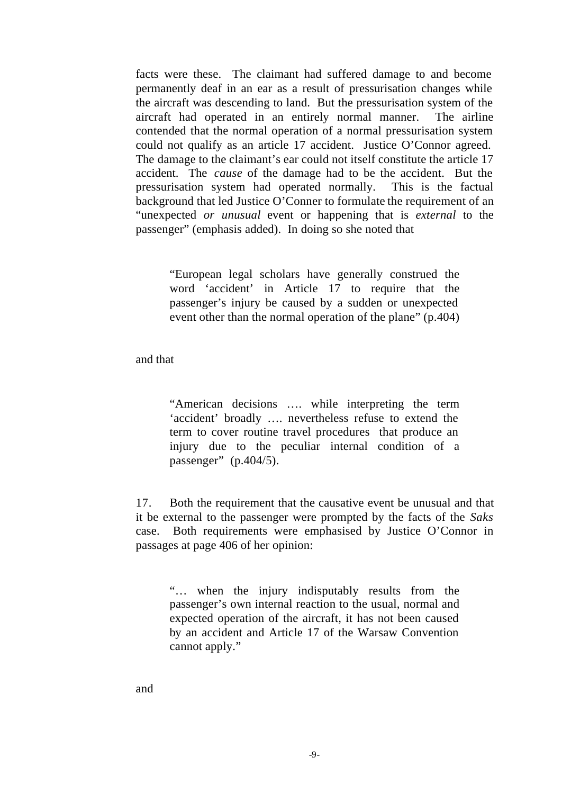facts were these. The claimant had suffered damage to and become permanently deaf in an ear as a result of pressurisation changes while the aircraft was descending to land. But the pressurisation system of the aircraft had operated in an entirely normal manner. The airline contended that the normal operation of a normal pressurisation system could not qualify as an article 17 accident. Justice O'Connor agreed. The damage to the claimant's ear could not itself constitute the article 17 accident. The *cause* of the damage had to be the accident. But the pressurisation system had operated normally. This is the factual background that led Justice O'Conner to formulate the requirement of an "unexpected *or unusual* event or happening that is *external* to the passenger" (emphasis added). In doing so she noted that

"European legal scholars have generally construed the word 'accident' in Article 17 to require that the passenger's injury be caused by a sudden or unexpected event other than the normal operation of the plane" (p.404)

and that

"American decisions …. while interpreting the term 'accident' broadly …. nevertheless refuse to extend the term to cover routine travel procedures that produce an injury due to the peculiar internal condition of a passenger"  $(p.404/5)$ .

17. Both the requirement that the causative event be unusual and that it be external to the passenger were prompted by the facts of the *Saks*  case. Both requirements were emphasised by Justice O'Connor in passages at page 406 of her opinion:

"… when the injury indisputably results from the passenger's own internal reaction to the usual, normal and expected operation of the aircraft, it has not been caused by an accident and Article 17 of the Warsaw Convention cannot apply."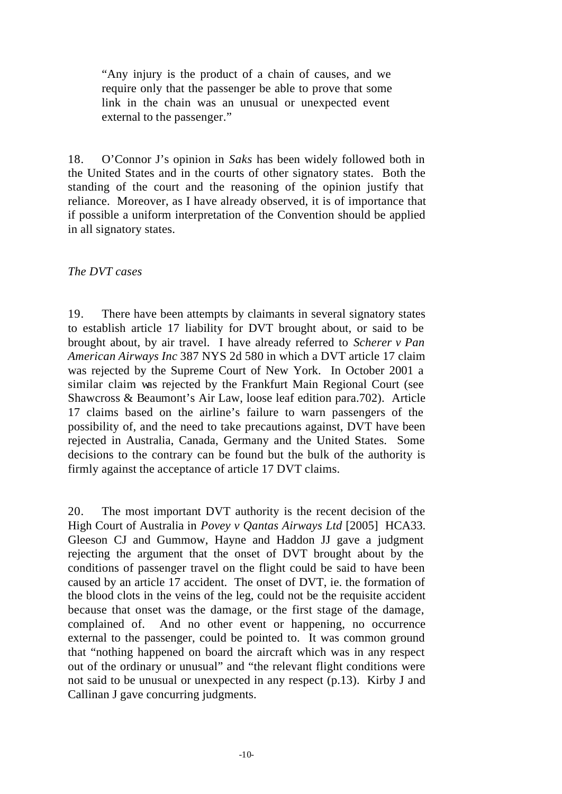"Any injury is the product of a chain of causes, and we require only that the passenger be able to prove that some link in the chain was an unusual or unexpected event external to the passenger."

18. O'Connor J's opinion in *Saks* has been widely followed both in the United States and in the courts of other signatory states. Both the standing of the court and the reasoning of the opinion justify that reliance. Moreover, as I have already observed, it is of importance that if possible a uniform interpretation of the Convention should be applied in all signatory states.

# *The DVT cases*

19. There have been attempts by claimants in several signatory states to establish article 17 liability for DVT brought about, or said to be brought about, by air travel. I have already referred to *Scherer v Pan American Airways Inc* 387 NYS 2d 580 in which a DVT article 17 claim was rejected by the Supreme Court of New York. In October 2001 a similar claim was rejected by the Frankfurt Main Regional Court (see Shawcross & Beaumont's Air Law, loose leaf edition para.702). Article 17 claims based on the airline's failure to warn passengers of the possibility of, and the need to take precautions against, DVT have been rejected in Australia, Canada, Germany and the United States. Some decisions to the contrary can be found but the bulk of the authority is firmly against the acceptance of article 17 DVT claims.

20. The most important DVT authority is the recent decision of the High Court of Australia in *Povey v Qantas Airways Ltd* [2005] HCA33. Gleeson CJ and Gummow, Hayne and Haddon JJ gave a judgment rejecting the argument that the onset of DVT brought about by the conditions of passenger travel on the flight could be said to have been caused by an article 17 accident. The onset of DVT, ie. the formation of the blood clots in the veins of the leg, could not be the requisite accident because that onset was the damage, or the first stage of the damage, complained of. And no other event or happening, no occurrence external to the passenger, could be pointed to. It was common ground that "nothing happened on board the aircraft which was in any respect out of the ordinary or unusual" and "the relevant flight conditions were not said to be unusual or unexpected in any respect (p.13). Kirby J and Callinan J gave concurring judgments.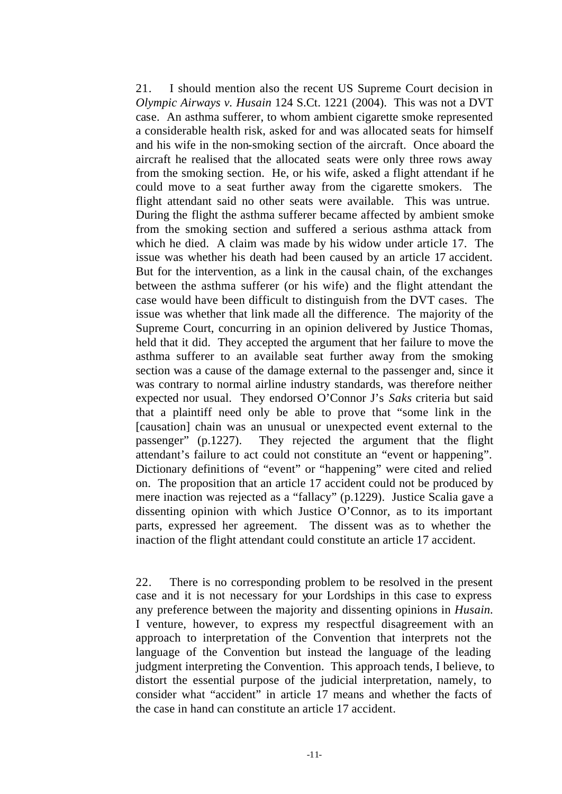21. I should mention also the recent US Supreme Court decision in *Olympic Airways v. Husain* 124 S.Ct. 1221 (2004). This was not a DVT case. An asthma sufferer, to whom ambient cigarette smoke represented a considerable health risk, asked for and was allocated seats for himself and his wife in the non-smoking section of the aircraft. Once aboard the aircraft he realised that the allocated seats were only three rows away from the smoking section. He, or his wife, asked a flight attendant if he could move to a seat further away from the cigarette smokers. The flight attendant said no other seats were available. This was untrue. During the flight the asthma sufferer became affected by ambient smoke from the smoking section and suffered a serious asthma attack from which he died. A claim was made by his widow under article 17. The issue was whether his death had been caused by an article 17 accident. But for the intervention, as a link in the causal chain, of the exchanges between the asthma sufferer (or his wife) and the flight attendant the case would have been difficult to distinguish from the DVT cases. The issue was whether that link made all the difference. The majority of the Supreme Court, concurring in an opinion delivered by Justice Thomas, held that it did. They accepted the argument that her failure to move the asthma sufferer to an available seat further away from the smoking section was a cause of the damage external to the passenger and, since it was contrary to normal airline industry standards, was therefore neither expected nor usual. They endorsed O'Connor J's *Saks* criteria but said that a plaintiff need only be able to prove that "some link in the [causation] chain was an unusual or unexpected event external to the passenger" (p.1227). They rejected the argument that the flight attendant's failure to act could not constitute an "event or happening". Dictionary definitions of "event" or "happening" were cited and relied on. The proposition that an article 17 accident could not be produced by mere inaction was rejected as a "fallacy" (p.1229). Justice Scalia gave a dissenting opinion with which Justice O'Connor, as to its important parts, expressed her agreement. The dissent was as to whether the inaction of the flight attendant could constitute an article 17 accident.

22. There is no corresponding problem to be resolved in the present case and it is not necessary for your Lordships in this case to express any preference between the majority and dissenting opinions in *Husain.*  I venture, however, to express my respectful disagreement with an approach to interpretation of the Convention that interprets not the language of the Convention but instead the language of the leading judgment interpreting the Convention. This approach tends, I believe, to distort the essential purpose of the judicial interpretation, namely, to consider what "accident" in article 17 means and whether the facts of the case in hand can constitute an article 17 accident.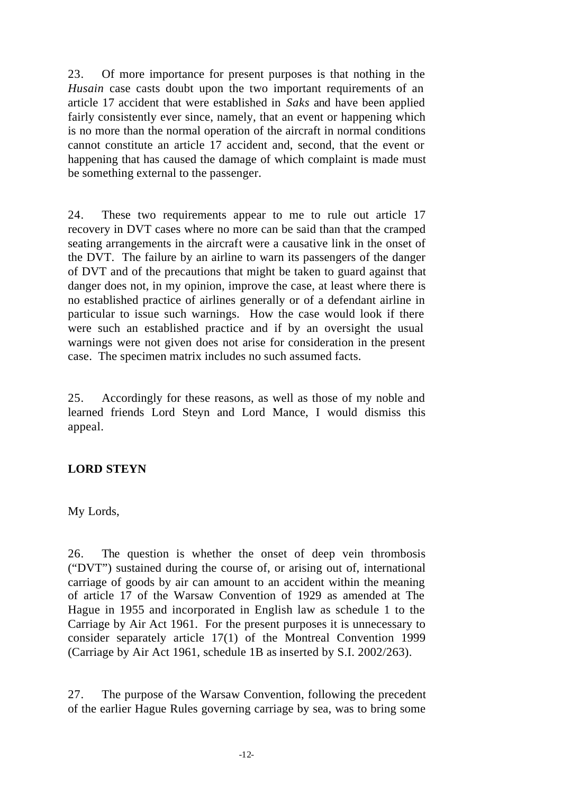23. Of more importance for present purposes is that nothing in the *Husain* case casts doubt upon the two important requirements of an article 17 accident that were established in *Saks* and have been applied fairly consistently ever since, namely, that an event or happening which is no more than the normal operation of the aircraft in normal conditions cannot constitute an article 17 accident and, second, that the event or happening that has caused the damage of which complaint is made must be something external to the passenger.

24. These two requirements appear to me to rule out article 17 recovery in DVT cases where no more can be said than that the cramped seating arrangements in the aircraft were a causative link in the onset of the DVT. The failure by an airline to warn its passengers of the danger of DVT and of the precautions that might be taken to guard against that danger does not, in my opinion, improve the case, at least where there is no established practice of airlines generally or of a defendant airline in particular to issue such warnings. How the case would look if there were such an established practice and if by an oversight the usual warnings were not given does not arise for consideration in the present case. The specimen matrix includes no such assumed facts.

25. Accordingly for these reasons, as well as those of my noble and learned friends Lord Steyn and Lord Mance, I would dismiss this appeal.

# **LORD STEYN**

My Lords,

26. The question is whether the onset of deep vein thrombosis ("DVT") sustained during the course of, or arising out of, international carriage of goods by air can amount to an accident within the meaning of article 17 of the Warsaw Convention of 1929 as amended at The Hague in 1955 and incorporated in English law as schedule 1 to the Carriage by Air Act 1961. For the present purposes it is unnecessary to consider separately article 17(1) of the Montreal Convention 1999 (Carriage by Air Act 1961, schedule 1B as inserted by S.I. 2002/263).

27. The purpose of the Warsaw Convention, following the precedent of the earlier Hague Rules governing carriage by sea, was to bring some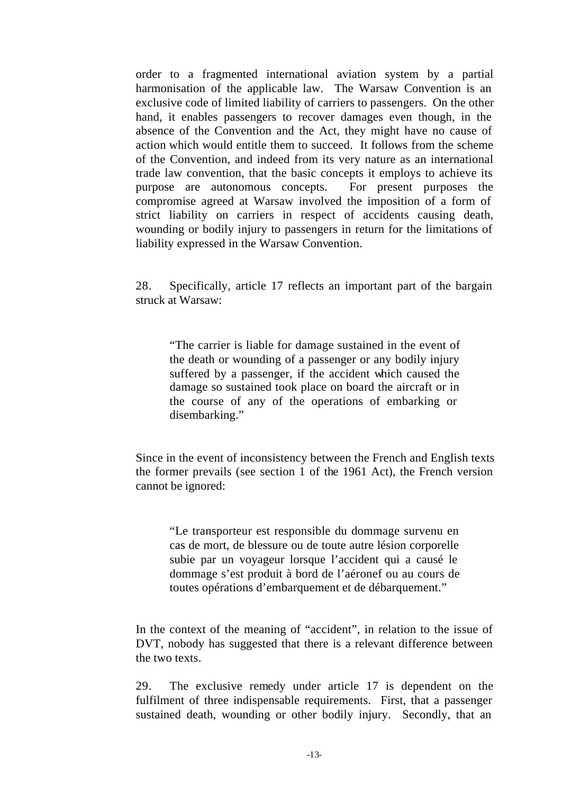order to a fragmented international aviation system by a partial harmonisation of the applicable law. The Warsaw Convention is an exclusive code of limited liability of carriers to passengers. On the other hand, it enables passengers to recover damages even though, in the absence of the Convention and the Act, they might have no cause of action which would entitle them to succeed. It follows from the scheme of the Convention, and indeed from its very nature as an international trade law convention, that the basic concepts it employs to achieve its purpose are autonomous concepts. For present purposes the compromise agreed at Warsaw involved the imposition of a form of strict liability on carriers in respect of accidents causing death, wounding or bodily injury to passengers in return for the limitations of liability expressed in the Warsaw Convention.

28. Specifically, article 17 reflects an important part of the bargain struck at Warsaw:

"The carrier is liable for damage sustained in the event of the death or wounding of a passenger or any bodily injury suffered by a passenger, if the accident which caused the damage so sustained took place on board the aircraft or in the course of any of the operations of embarking or disembarking."

Since in the event of inconsistency between the French and English texts the former prevails (see section 1 of the 1961 Act), the French version cannot be ignored:

"Le transporteur est responsible du dommage survenu en cas de mort, de blessure ou de toute autre lésion corporelle subie par un voyageur lorsque l'accident qui a causé le dommage s'est produit à bord de l'aéronef ou au cours de toutes opérations d'embarquement et de débarquement."

In the context of the meaning of "accident", in relation to the issue of DVT, nobody has suggested that there is a relevant difference between the two texts.

29. The exclusive remedy under article 17 is dependent on the fulfilment of three indispensable requirements. First, that a passenger sustained death, wounding or other bodily injury. Secondly, that an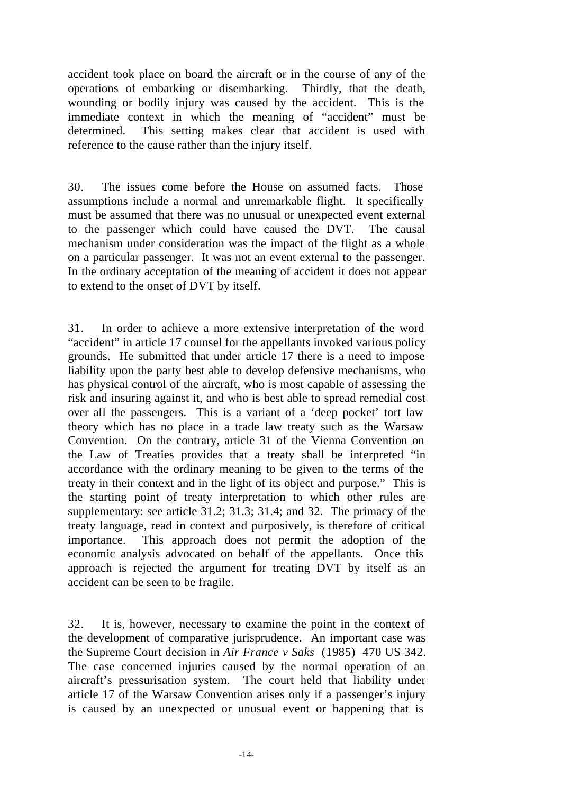accident took place on board the aircraft or in the course of any of the operations of embarking or disembarking. Thirdly, that the death, wounding or bodily injury was caused by the accident. This is the immediate context in which the meaning of "accident" must be determined. This setting makes clear that accident is used with reference to the cause rather than the injury itself.

30. The issues come before the House on assumed facts. Those assumptions include a normal and unremarkable flight. It specifically must be assumed that there was no unusual or unexpected event external to the passenger which could have caused the DVT. The causal mechanism under consideration was the impact of the flight as a whole on a particular passenger. It was not an event external to the passenger. In the ordinary acceptation of the meaning of accident it does not appear to extend to the onset of DVT by itself.

31. In order to achieve a more extensive interpretation of the word "accident" in article 17 counsel for the appellants invoked various policy grounds. He submitted that under article 17 there is a need to impose liability upon the party best able to develop defensive mechanisms, who has physical control of the aircraft, who is most capable of assessing the risk and insuring against it, and who is best able to spread remedial cost over all the passengers. This is a variant of a 'deep pocket' tort law theory which has no place in a trade law treaty such as the Warsaw Convention. On the contrary, article 31 of the Vienna Convention on the Law of Treaties provides that a treaty shall be interpreted "in accordance with the ordinary meaning to be given to the terms of the treaty in their context and in the light of its object and purpose." This is the starting point of treaty interpretation to which other rules are supplementary: see article 31.2; 31.3; 31.4; and 32. The primacy of the treaty language, read in context and purposively, is therefore of critical importance. This approach does not permit the adoption of the economic analysis advocated on behalf of the appellants. Once this approach is rejected the argument for treating DVT by itself as an accident can be seen to be fragile.

32. It is, however, necessary to examine the point in the context of the development of comparative jurisprudence. An important case was the Supreme Court decision in *Air France v Saks* (1985) 470 US 342. The case concerned injuries caused by the normal operation of an aircraft's pressurisation system. The court held that liability under article 17 of the Warsaw Convention arises only if a passenger's injury is caused by an unexpected or unusual event or happening that is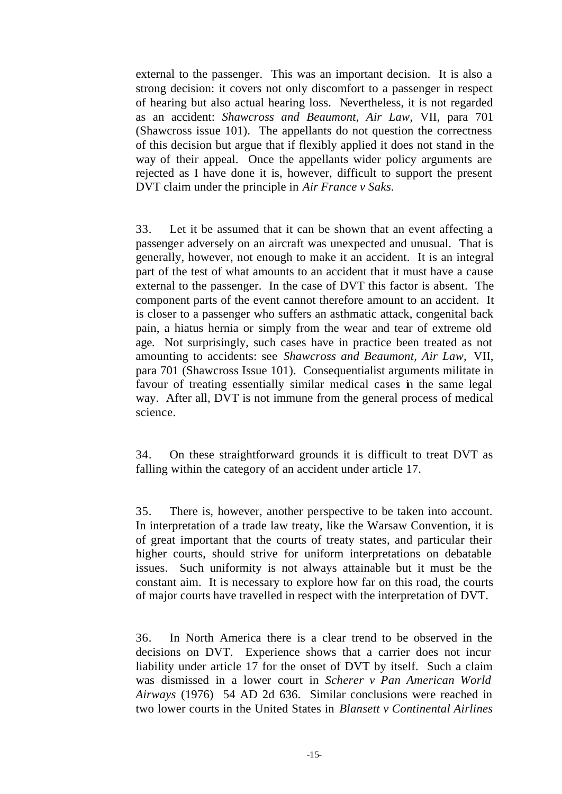external to the passenger. This was an important decision. It is also a strong decision: it covers not only discomfort to a passenger in respect of hearing but also actual hearing loss. Nevertheless, it is not regarded as an accident: *Shawcross and Beaumont, Air Law,* VII, para 701 (Shawcross issue 101). The appellants do not question the correctness of this decision but argue that if flexibly applied it does not stand in the way of their appeal. Once the appellants wider policy arguments are rejected as I have done it is, however, difficult to support the present DVT claim under the principle in *Air France v Saks.*

33. Let it be assumed that it can be shown that an event affecting a passenger adversely on an aircraft was unexpected and unusual. That is generally, however, not enough to make it an accident. It is an integral part of the test of what amounts to an accident that it must have a cause external to the passenger. In the case of DVT this factor is absent. The component parts of the event cannot therefore amount to an accident. It is closer to a passenger who suffers an asthmatic attack, congenital back pain, a hiatus hernia or simply from the wear and tear of extreme old age. Not surprisingly, such cases have in practice been treated as not amounting to accidents: see *Shawcross and Beaumont, Air Law,* VII, para 701 (Shawcross Issue 101). Consequentialist arguments militate in favour of treating essentially similar medical cases in the same legal way. After all, DVT is not immune from the general process of medical science.

34. On these straightforward grounds it is difficult to treat DVT as falling within the category of an accident under article 17.

35. There is, however, another perspective to be taken into account. In interpretation of a trade law treaty, like the Warsaw Convention, it is of great important that the courts of treaty states, and particular their higher courts, should strive for uniform interpretations on debatable issues. Such uniformity is not always attainable but it must be the constant aim. It is necessary to explore how far on this road, the courts of major courts have travelled in respect with the interpretation of DVT.

36. In North America there is a clear trend to be observed in the decisions on DVT. Experience shows that a carrier does not incur liability under article 17 for the onset of DVT by itself. Such a claim was dismissed in a lower court in *Scherer v Pan American World Airways* (1976) 54 AD 2d 636. Similar conclusions were reached in two lower courts in the United States in *Blansett v Continental Airlines*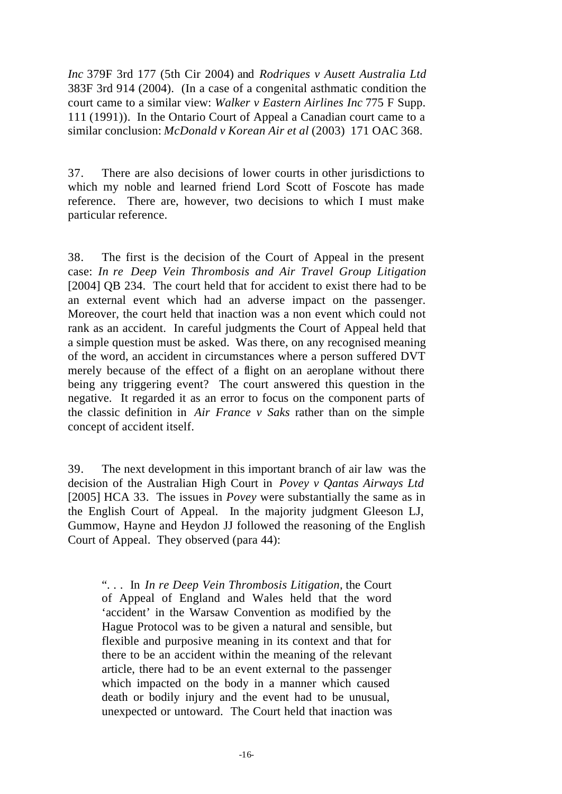*Inc* 379F 3rd 177 (5th Cir 2004) and *Rodriques v Ausett Australia Ltd* 383F 3rd 914 (2004). (In a case of a congenital asthmatic condition the court came to a similar view: *Walker v Eastern Airlines Inc* 775 F Supp. 111 (1991)). In the Ontario Court of Appeal a Canadian court came to a similar conclusion: *McDonald v Korean Air et al* (2003) 171 OAC 368.

37. There are also decisions of lower courts in other jurisdictions to which my noble and learned friend Lord Scott of Foscote has made reference. There are, however, two decisions to which I must make particular reference.

38. The first is the decision of the Court of Appeal in the present case: *In re Deep Vein Thrombosis and Air Travel Group Litigation* [2004] QB 234. The court held that for accident to exist there had to be an external event which had an adverse impact on the passenger. Moreover, the court held that inaction was a non event which could not rank as an accident. In careful judgments the Court of Appeal held that a simple question must be asked. Was there, on any recognised meaning of the word, an accident in circumstances where a person suffered DVT merely because of the effect of a flight on an aeroplane without there being any triggering event? The court answered this question in the negative. It regarded it as an error to focus on the component parts of the classic definition in *Air France v Saks* rather than on the simple concept of accident itself.

39. The next development in this important branch of air law was the decision of the Australian High Court in *Povey v Qantas Airways Ltd*  [2005] HCA 33. The issues in *Povey* were substantially the same as in the English Court of Appeal. In the majority judgment Gleeson LJ, Gummow, Hayne and Heydon JJ followed the reasoning of the English Court of Appeal. They observed (para 44):

". . . In *In re Deep Vein Thrombosis Litigation,* the Court of Appeal of England and Wales held that the word 'accident' in the Warsaw Convention as modified by the Hague Protocol was to be given a natural and sensible, but flexible and purposive meaning in its context and that for there to be an accident within the meaning of the relevant article, there had to be an event external to the passenger which impacted on the body in a manner which caused death or bodily injury and the event had to be unusual, unexpected or untoward. The Court held that inaction was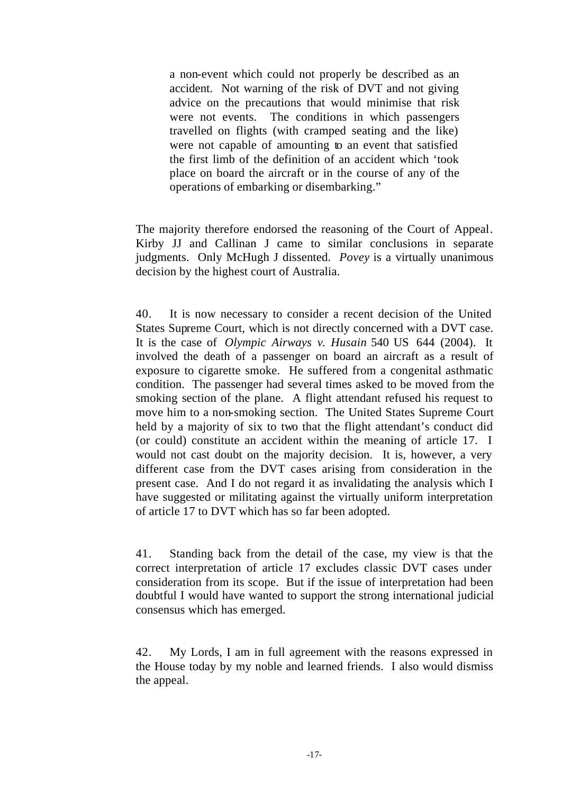a non-event which could not properly be described as an accident. Not warning of the risk of DVT and not giving advice on the precautions that would minimise that risk were not events. The conditions in which passengers travelled on flights (with cramped seating and the like) were not capable of amounting to an event that satisfied the first limb of the definition of an accident which 'took place on board the aircraft or in the course of any of the operations of embarking or disembarking."

The majority therefore endorsed the reasoning of the Court of Appeal. Kirby JJ and Callinan J came to similar conclusions in separate judgments. Only McHugh J dissented. *Povey* is a virtually unanimous decision by the highest court of Australia.

40. It is now necessary to consider a recent decision of the United States Supreme Court, which is not directly concerned with a DVT case. It is the case of *Olympic Airways v. Husain* 540 US 644 (2004). It involved the death of a passenger on board an aircraft as a result of exposure to cigarette smoke. He suffered from a congenital asthmatic condition. The passenger had several times asked to be moved from the smoking section of the plane. A flight attendant refused his request to move him to a non-smoking section. The United States Supreme Court held by a majority of six to two that the flight attendant's conduct did (or could) constitute an accident within the meaning of article 17. I would not cast doubt on the majority decision. It is, however, a very different case from the DVT cases arising from consideration in the present case. And I do not regard it as invalidating the analysis which I have suggested or militating against the virtually uniform interpretation of article 17 to DVT which has so far been adopted.

41. Standing back from the detail of the case, my view is that the correct interpretation of article 17 excludes classic DVT cases under consideration from its scope. But if the issue of interpretation had been doubtful I would have wanted to support the strong international judicial consensus which has emerged.

42. My Lords, I am in full agreement with the reasons expressed in the House today by my noble and learned friends. I also would dismiss the appeal.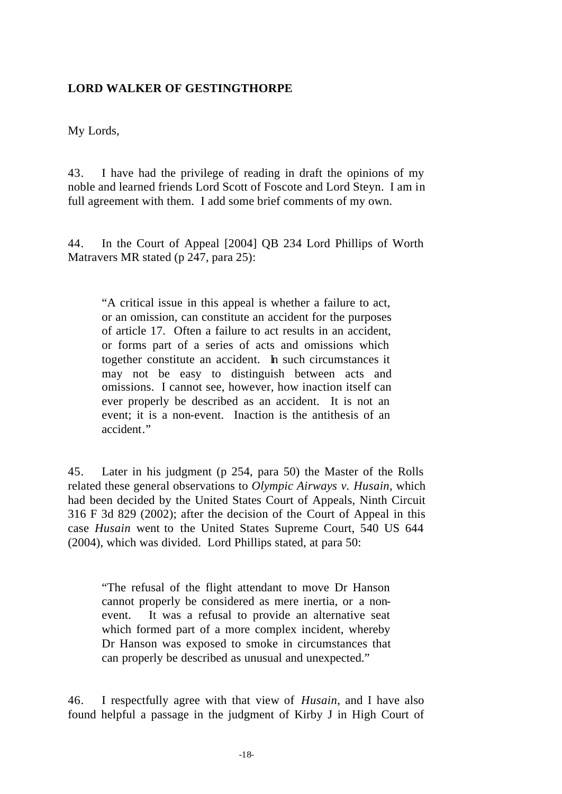# **LORD WALKER OF GESTINGTHORPE**

My Lords,

43. I have had the privilege of reading in draft the opinions of my noble and learned friends Lord Scott of Foscote and Lord Steyn. I am in full agreement with them. I add some brief comments of my own.

44. In the Court of Appeal [2004] QB 234 Lord Phillips of Worth Matravers MR stated (p 247, para 25):

"A critical issue in this appeal is whether a failure to act, or an omission, can constitute an accident for the purposes of article 17. Often a failure to act results in an accident, or forms part of a series of acts and omissions which together constitute an accident. In such circumstances it may not be easy to distinguish between acts and omissions. I cannot see, however, how inaction itself can ever properly be described as an accident. It is not an event; it is a non-event. Inaction is the antithesis of an accident."

45. Later in his judgment (p 254, para 50) the Master of the Rolls related these general observations to *Olympic Airways v. Husain*, which had been decided by the United States Court of Appeals, Ninth Circuit 316 F 3d 829 (2002); after the decision of the Court of Appeal in this case *Husain* went to the United States Supreme Court, 540 US 644 (2004), which was divided. Lord Phillips stated, at para 50:

"The refusal of the flight attendant to move Dr Hanson cannot properly be considered as mere inertia, or a nonevent. It was a refusal to provide an alternative seat which formed part of a more complex incident, whereby Dr Hanson was exposed to smoke in circumstances that can properly be described as unusual and unexpected."

46. I respectfully agree with that view of *Husain*, and I have also found helpful a passage in the judgment of Kirby J in High Court of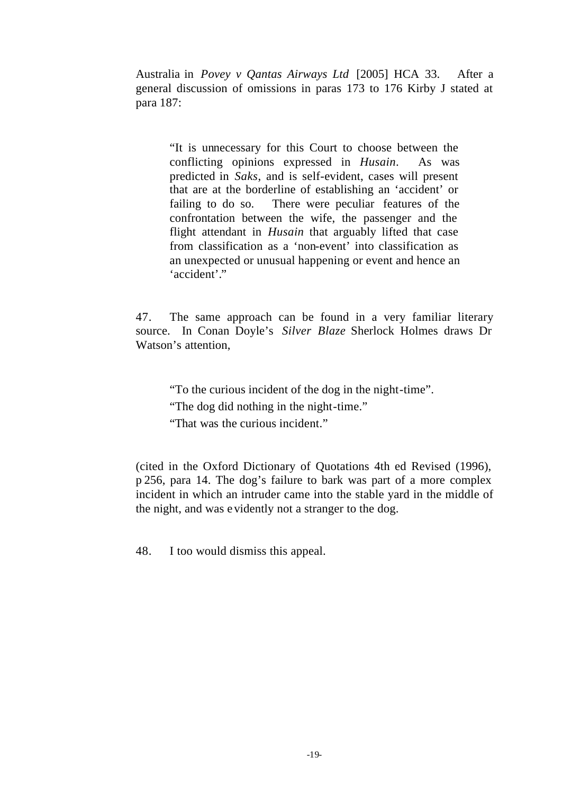Australia in *Povey v Qantas Airways Ltd* [2005] HCA 33. After a general discussion of omissions in paras 173 to 176 Kirby J stated at para 187:

"It is unnecessary for this Court to choose between the conflicting opinions expressed in *Husain*. As was predicted in *Saks*, and is self-evident, cases will present that are at the borderline of establishing an 'accident' or failing to do so. There were peculiar features of the confrontation between the wife, the passenger and the flight attendant in *Husain* that arguably lifted that case from classification as a 'non-event' into classification as an unexpected or unusual happening or event and hence an 'accident'."

47. The same approach can be found in a very familiar literary source. In Conan Doyle's *Silver Blaze* Sherlock Holmes draws Dr Watson's attention,

"To the curious incident of the dog in the night-time". "The dog did nothing in the night-time." "That was the curious incident."

(cited in the Oxford Dictionary of Quotations 4th ed Revised (1996), p 256, para 14. The dog's failure to bark was part of a more complex incident in which an intruder came into the stable yard in the middle of the night, and was evidently not a stranger to the dog.

48. I too would dismiss this appeal.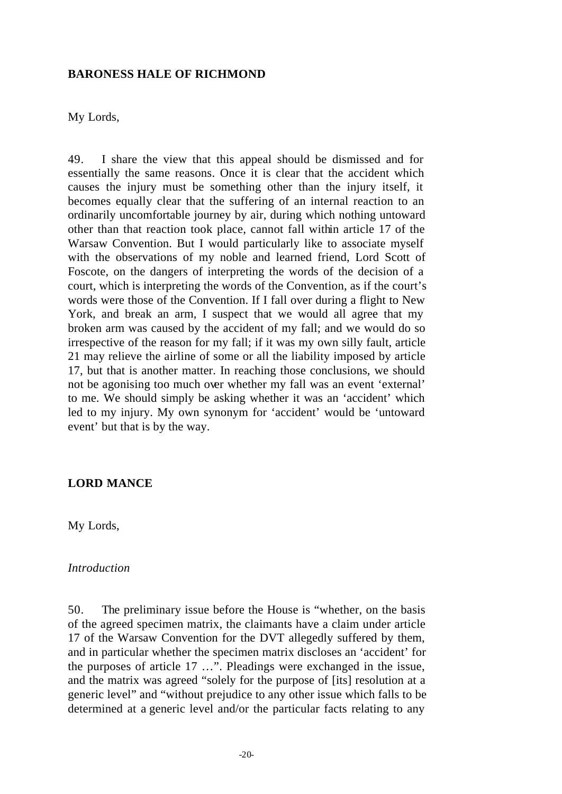### **BARONESS HALE OF RICHMOND**

My Lords,

49. I share the view that this appeal should be dismissed and for essentially the same reasons. Once it is clear that the accident which causes the injury must be something other than the injury itself, it becomes equally clear that the suffering of an internal reaction to an ordinarily uncomfortable journey by air, during which nothing untoward other than that reaction took place, cannot fall within article 17 of the Warsaw Convention. But I would particularly like to associate myself with the observations of my noble and learned friend, Lord Scott of Foscote, on the dangers of interpreting the words of the decision of a court, which is interpreting the words of the Convention, as if the court's words were those of the Convention. If I fall over during a flight to New York, and break an arm, I suspect that we would all agree that my broken arm was caused by the accident of my fall; and we would do so irrespective of the reason for my fall; if it was my own silly fault, article 21 may relieve the airline of some or all the liability imposed by article 17, but that is another matter. In reaching those conclusions, we should not be agonising too much over whether my fall was an event 'external' to me. We should simply be asking whether it was an 'accident' which led to my injury. My own synonym for 'accident' would be 'untoward event' but that is by the way.

## **LORD MANCE**

My Lords,

#### *Introduction*

50. The preliminary issue before the House is "whether, on the basis of the agreed specimen matrix, the claimants have a claim under article 17 of the Warsaw Convention for the DVT allegedly suffered by them, and in particular whether the specimen matrix discloses an 'accident' for the purposes of article 17 …". Pleadings were exchanged in the issue, and the matrix was agreed "solely for the purpose of [its] resolution at a generic level" and "without prejudice to any other issue which falls to be determined at a generic level and/or the particular facts relating to any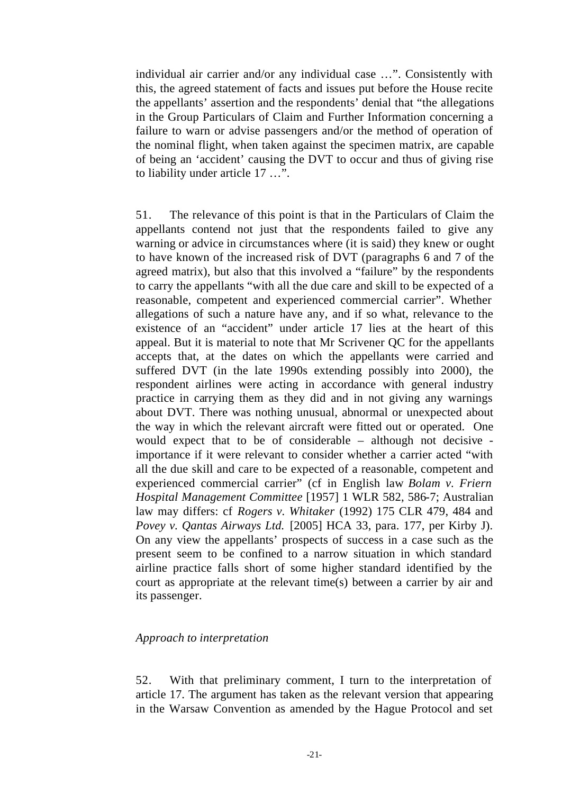individual air carrier and/or any individual case …". Consistently with this, the agreed statement of facts and issues put before the House recite the appellants' assertion and the respondents' denial that "the allegations in the Group Particulars of Claim and Further Information concerning a failure to warn or advise passengers and/or the method of operation of the nominal flight, when taken against the specimen matrix, are capable of being an 'accident' causing the DVT to occur and thus of giving rise to liability under article 17 …".

51. The relevance of this point is that in the Particulars of Claim the appellants contend not just that the respondents failed to give any warning or advice in circumstances where (it is said) they knew or ought to have known of the increased risk of DVT (paragraphs 6 and 7 of the agreed matrix), but also that this involved a "failure" by the respondents to carry the appellants "with all the due care and skill to be expected of a reasonable, competent and experienced commercial carrier". Whether allegations of such a nature have any, and if so what, relevance to the existence of an "accident" under article 17 lies at the heart of this appeal. But it is material to note that Mr Scrivener QC for the appellants accepts that, at the dates on which the appellants were carried and suffered DVT (in the late 1990s extending possibly into 2000), the respondent airlines were acting in accordance with general industry practice in carrying them as they did and in not giving any warnings about DVT. There was nothing unusual, abnormal or unexpected about the way in which the relevant aircraft were fitted out or operated. One would expect that to be of considerable – although not decisive importance if it were relevant to consider whether a carrier acted "with all the due skill and care to be expected of a reasonable, competent and experienced commercial carrier" (cf in English law *Bolam v. Friern Hospital Management Committee* [1957] 1 WLR 582, 586-7; Australian law may differs: cf *Rogers v. Whitaker* (1992) 175 CLR 479, 484 and *Povey v. Qantas Airways Ltd.* [2005] HCA 33, para. 177, per Kirby J). On any view the appellants' prospects of success in a case such as the present seem to be confined to a narrow situation in which standard airline practice falls short of some higher standard identified by the court as appropriate at the relevant time(s) between a carrier by air and its passenger.

### *Approach to interpretation*

52. With that preliminary comment, I turn to the interpretation of article 17. The argument has taken as the relevant version that appearing in the Warsaw Convention as amended by the Hague Protocol and set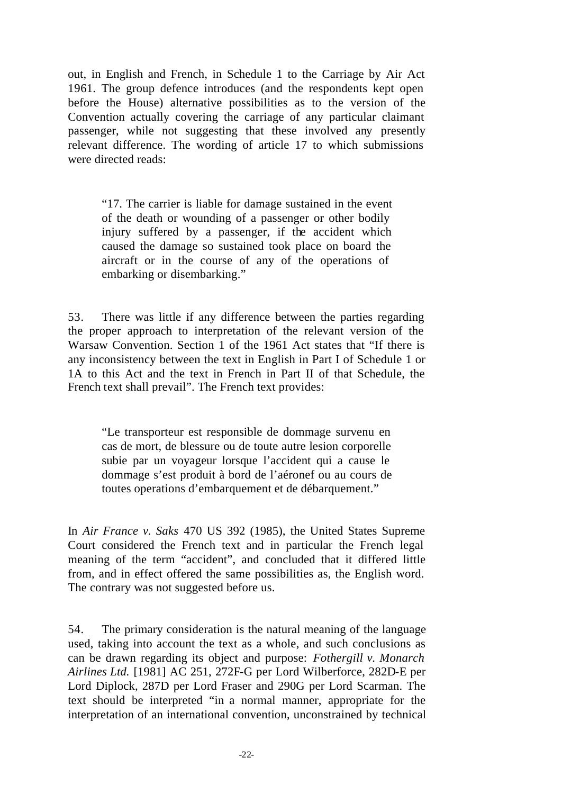out, in English and French, in Schedule 1 to the Carriage by Air Act 1961. The group defence introduces (and the respondents kept open before the House) alternative possibilities as to the version of the Convention actually covering the carriage of any particular claimant passenger, while not suggesting that these involved any presently relevant difference. The wording of article 17 to which submissions were directed reads:

"17. The carrier is liable for damage sustained in the event of the death or wounding of a passenger or other bodily injury suffered by a passenger, if the accident which caused the damage so sustained took place on board the aircraft or in the course of any of the operations of embarking or disembarking."

53. There was little if any difference between the parties regarding the proper approach to interpretation of the relevant version of the Warsaw Convention. Section 1 of the 1961 Act states that "If there is any inconsistency between the text in English in Part I of Schedule 1 or 1A to this Act and the text in French in Part II of that Schedule, the French text shall prevail". The French text provides:

"Le transporteur est responsible de dommage survenu en cas de mort, de blessure ou de toute autre lesion corporelle subie par un voyageur lorsque l'accident qui a cause le dommage s'est produit à bord de l'aéronef ou au cours de toutes operations d'embarquement et de débarquement."

In *Air France v. Saks* 470 US 392 (1985), the United States Supreme Court considered the French text and in particular the French legal meaning of the term "accident", and concluded that it differed little from, and in effect offered the same possibilities as, the English word. The contrary was not suggested before us.

54. The primary consideration is the natural meaning of the language used, taking into account the text as a whole, and such conclusions as can be drawn regarding its object and purpose: *Fothergill v. Monarch Airlines Ltd.* [1981] AC 251, 272F-G per Lord Wilberforce, 282D-E per Lord Diplock, 287D per Lord Fraser and 290G per Lord Scarman. The text should be interpreted "in a normal manner, appropriate for the interpretation of an international convention, unconstrained by technical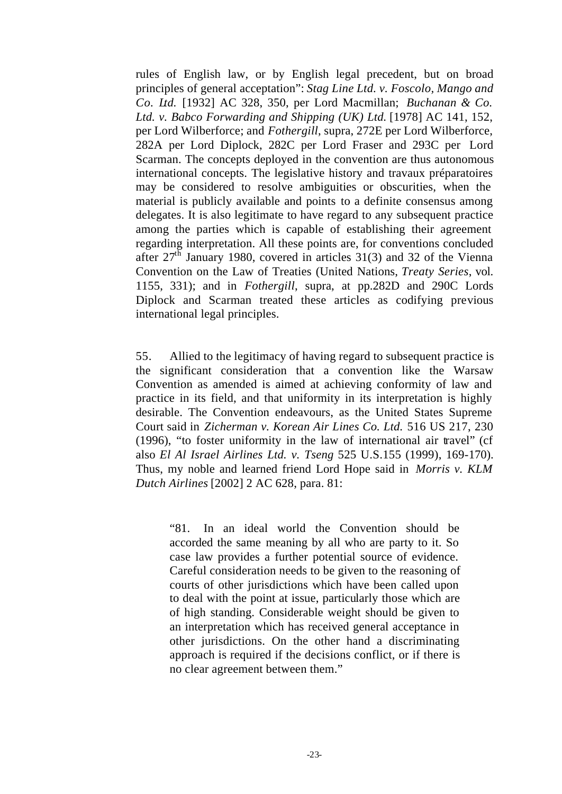rules of English law, or by English legal precedent, but on broad principles of general acceptation": *Stag Line Ltd. v. Foscolo, Mango and Co. Ltd.* [1932] AC 328, 350, per Lord Macmillan; *Buchanan & Co. Ltd. v. Babco Forwarding and Shipping (UK) Ltd.* [1978] AC 141, 152, per Lord Wilberforce; and *Fothergill*, supra, 272E per Lord Wilberforce, 282A per Lord Diplock, 282C per Lord Fraser and 293C per Lord Scarman. The concepts deployed in the convention are thus autonomous international concepts. The legislative history and travaux préparatoires may be considered to resolve ambiguities or obscurities, when the material is publicly available and points to a definite consensus among delegates. It is also legitimate to have regard to any subsequent practice among the parties which is capable of establishing their agreement regarding interpretation. All these points are, for conventions concluded after  $27<sup>th</sup>$  January 1980, covered in articles 31(3) and 32 of the Vienna Convention on the Law of Treaties (United Nations, *Treaty Series*, vol. 1155, 331); and in *Fothergill*, supra, at pp.282D and 290C Lords Diplock and Scarman treated these articles as codifying previous international legal principles.

55. Allied to the legitimacy of having regard to subsequent practice is the significant consideration that a convention like the Warsaw Convention as amended is aimed at achieving conformity of law and practice in its field, and that uniformity in its interpretation is highly desirable. The Convention endeavours, as the United States Supreme Court said in *Zicherman v. Korean Air Lines Co. Ltd.* 516 US 217, 230 (1996), "to foster uniformity in the law of international air travel" (cf also *El Al Israel Airlines Ltd. v. Tseng* 525 U.S.155 (1999), 169-170). Thus, my noble and learned friend Lord Hope said in *Morris v. KLM Dutch Airlines* [2002] 2 AC 628, para. 81:

"81. In an ideal world the Convention should be accorded the same meaning by all who are party to it. So case law provides a further potential source of evidence. Careful consideration needs to be given to the reasoning of courts of other jurisdictions which have been called upon to deal with the point at issue, particularly those which are of high standing. Considerable weight should be given to an interpretation which has received general acceptance in other jurisdictions. On the other hand a discriminating approach is required if the decisions conflict, or if there is no clear agreement between them."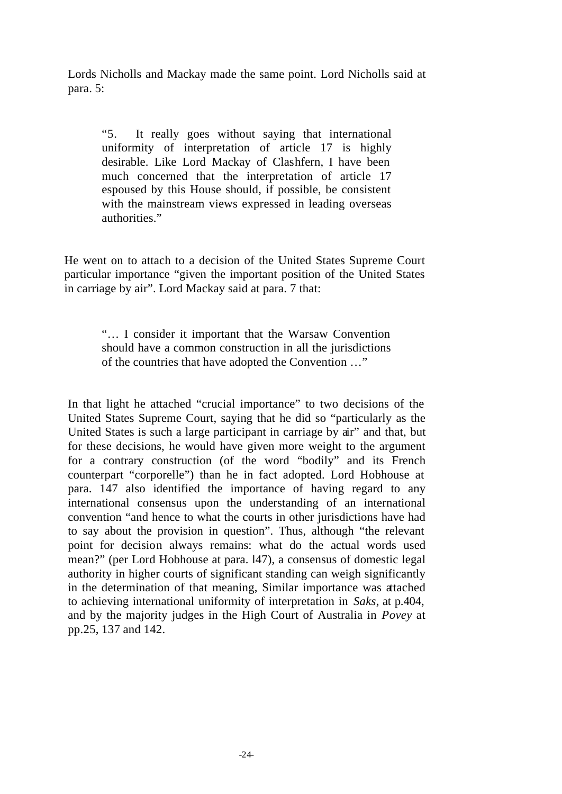Lords Nicholls and Mackay made the same point. Lord Nicholls said at para. 5:

"5. It really goes without saying that international uniformity of interpretation of article 17 is highly desirable. Like Lord Mackay of Clashfern, I have been much concerned that the interpretation of article 17 espoused by this House should, if possible, be consistent with the mainstream views expressed in leading overseas authorities."

He went on to attach to a decision of the United States Supreme Court particular importance "given the important position of the United States in carriage by air". Lord Mackay said at para. 7 that:

> "… I consider it important that the Warsaw Convention should have a common construction in all the jurisdictions of the countries that have adopted the Convention …"

In that light he attached "crucial importance" to two decisions of the United States Supreme Court, saying that he did so "particularly as the United States is such a large participant in carriage by air" and that, but for these decisions, he would have given more weight to the argument for a contrary construction (of the word "bodily" and its French counterpart "corporelle") than he in fact adopted. Lord Hobhouse at para. 147 also identified the importance of having regard to any international consensus upon the understanding of an international convention "and hence to what the courts in other jurisdictions have had to say about the provision in question". Thus, although "the relevant point for decision always remains: what do the actual words used mean?" (per Lord Hobhouse at para. l47), a consensus of domestic legal authority in higher courts of significant standing can weigh significantly in the determination of that meaning, Similar importance was attached to achieving international uniformity of interpretation in *Saks*, at p.404, and by the majority judges in the High Court of Australia in *Povey* at pp.25, 137 and 142.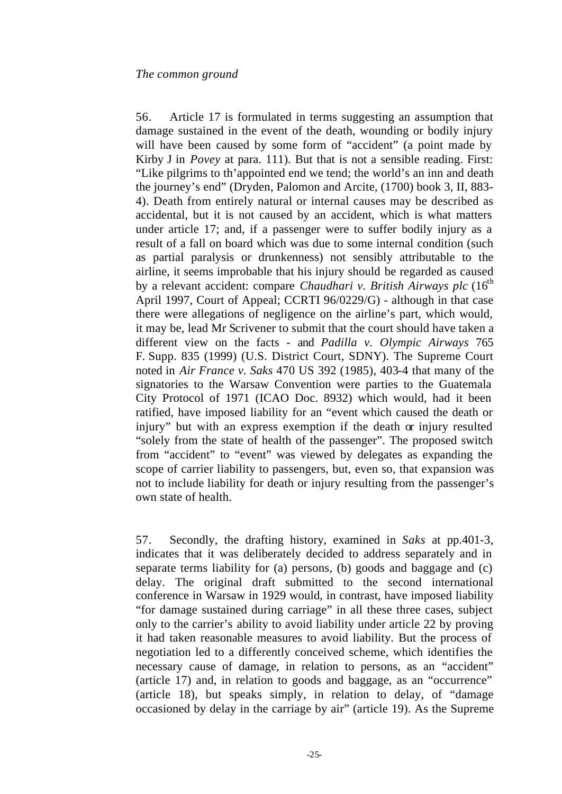56. Article 17 is formulated in terms suggesting an assumption that damage sustained in the event of the death, wounding or bodily injury will have been caused by some form of "accident" (a point made by Kirby J in *Povey* at para. 111). But that is not a sensible reading. First: "Like pilgrims to th'appointed end we tend; the world's an inn and death the journey's end" (Dryden, Palomon and Arcite, (1700) book 3, II, 883- 4). Death from entirely natural or internal causes may be described as accidental, but it is not caused by an accident, which is what matters under article 17; and, if a passenger were to suffer bodily injury as a result of a fall on board which was due to some internal condition (such as partial paralysis or drunkenness) not sensibly attributable to the airline, it seems improbable that his injury should be regarded as caused by a relevant accident: compare *Chaudhari v. British Airways plc* (16<sup>th</sup>) April 1997, Court of Appeal; CCRTI 96/0229/G) - although in that case there were allegations of negligence on the airline's part, which would, it may be, lead Mr Scrivener to submit that the court should have taken a different view on the facts - and *Padilla v. Olympic Airways* 765 F. Supp. 835 (1999) (U.S. District Court, SDNY). The Supreme Court noted in *Air France v. Saks* 470 US 392 (1985), 403-4 that many of the signatories to the Warsaw Convention were parties to the Guatemala City Protocol of 1971 (ICAO Doc. 8932) which would, had it been ratified, have imposed liability for an "event which caused the death or injury" but with an express exemption if the death or injury resulted "solely from the state of health of the passenger". The proposed switch from "accident" to "event" was viewed by delegates as expanding the scope of carrier liability to passengers, but, even so, that expansion was not to include liability for death or injury resulting from the passenger's own state of health.

57. Secondly, the drafting history, examined in *Saks* at pp.401-3, indicates that it was deliberately decided to address separately and in separate terms liability for (a) persons, (b) goods and baggage and (c) delay. The original draft submitted to the second international conference in Warsaw in 1929 would, in contrast, have imposed liability "for damage sustained during carriage" in all these three cases, subject only to the carrier's ability to avoid liability under article 22 by proving it had taken reasonable measures to avoid liability. But the process of negotiation led to a differently conceived scheme, which identifies the necessary cause of damage, in relation to persons, as an "accident" (article 17) and, in relation to goods and baggage, as an "occurrence" (article 18), but speaks simply, in relation to delay, of "damage occasioned by delay in the carriage by air" (article 19). As the Supreme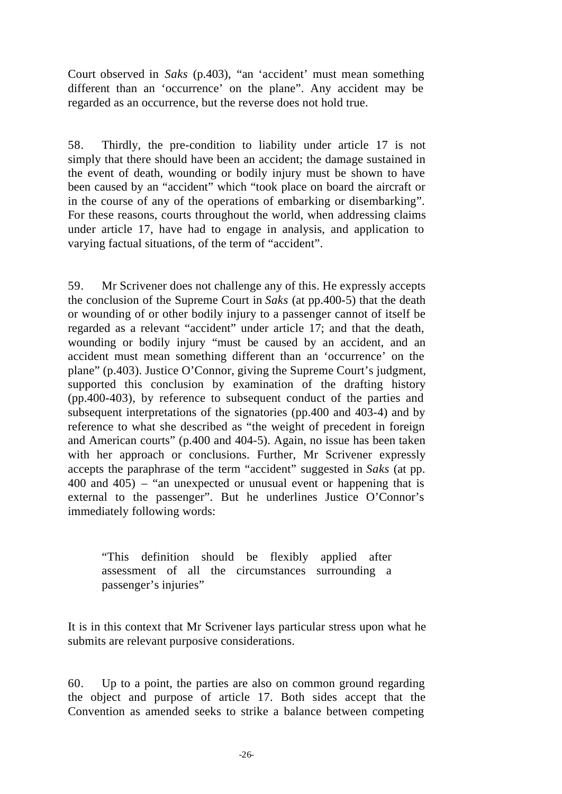Court observed in *Saks* (p.403), "an 'accident' must mean something different than an 'occurrence' on the plane". Any accident may be regarded as an occurrence, but the reverse does not hold true.

58. Thirdly, the pre-condition to liability under article 17 is not simply that there should have been an accident; the damage sustained in the event of death, wounding or bodily injury must be shown to have been caused by an "accident" which "took place on board the aircraft or in the course of any of the operations of embarking or disembarking". For these reasons, courts throughout the world, when addressing claims under article 17, have had to engage in analysis, and application to varying factual situations, of the term of "accident".

59. Mr Scrivener does not challenge any of this. He expressly accepts the conclusion of the Supreme Court in *Saks* (at pp.400-5) that the death or wounding of or other bodily injury to a passenger cannot of itself be regarded as a relevant "accident" under article 17; and that the death, wounding or bodily injury "must be caused by an accident, and an accident must mean something different than an 'occurrence' on the plane" (p.403). Justice O'Connor, giving the Supreme Court's judgment, supported this conclusion by examination of the drafting history (pp.400-403), by reference to subsequent conduct of the parties and subsequent interpretations of the signatories (pp.400 and 403-4) and by reference to what she described as "the weight of precedent in foreign and American courts" (p.400 and 404-5). Again, no issue has been taken with her approach or conclusions. Further, Mr Scrivener expressly accepts the paraphrase of the term "accident" suggested in *Saks* (at pp. 400 and 405) – "an unexpected or unusual event or happening that is external to the passenger". But he underlines Justice O'Connor's immediately following words:

"This definition should be flexibly applied after assessment of all the circumstances surrounding a passenger's injuries"

It is in this context that Mr Scrivener lays particular stress upon what he submits are relevant purposive considerations.

60. Up to a point, the parties are also on common ground regarding the object and purpose of article 17. Both sides accept that the Convention as amended seeks to strike a balance between competing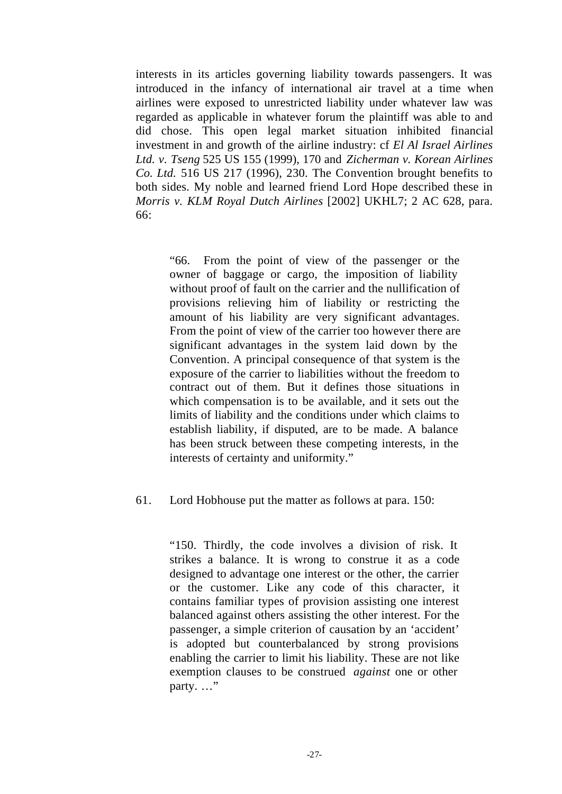interests in its articles governing liability towards passengers. It was introduced in the infancy of international air travel at a time when airlines were exposed to unrestricted liability under whatever law was regarded as applicable in whatever forum the plaintiff was able to and did chose. This open legal market situation inhibited financial investment in and growth of the airline industry: cf *El Al Israel Airlines Ltd. v. Tseng* 525 US 155 (1999), 170 and *Zicherman v. Korean Airlines Co. Ltd.* 516 US 217 (1996), 230. The Convention brought benefits to both sides. My noble and learned friend Lord Hope described these in *Morris v. KLM Royal Dutch Airlines* [2002] UKHL7; 2 AC 628, para. 66:

"66. From the point of view of the passenger or the owner of baggage or cargo, the imposition of liability without proof of fault on the carrier and the nullification of provisions relieving him of liability or restricting the amount of his liability are very significant advantages. From the point of view of the carrier too however there are significant advantages in the system laid down by the Convention. A principal consequence of that system is the exposure of the carrier to liabilities without the freedom to contract out of them. But it defines those situations in which compensation is to be available, and it sets out the limits of liability and the conditions under which claims to establish liability, if disputed, are to be made. A balance has been struck between these competing interests, in the interests of certainty and uniformity."

# 61. Lord Hobhouse put the matter as follows at para. 150:

"150. Thirdly, the code involves a division of risk. It strikes a balance. It is wrong to construe it as a code designed to advantage one interest or the other, the carrier or the customer. Like any code of this character, it contains familiar types of provision assisting one interest balanced against others assisting the other interest. For the passenger, a simple criterion of causation by an 'accident' is adopted but counterbalanced by strong provisions enabling the carrier to limit his liability. These are not like exemption clauses to be construed *against* one or other party. ..."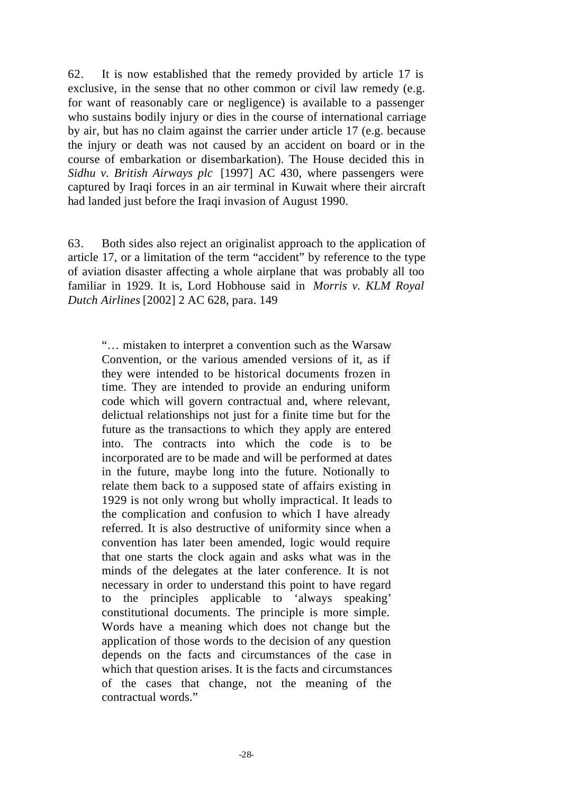62. It is now established that the remedy provided by article 17 is exclusive, in the sense that no other common or civil law remedy (e.g. for want of reasonably care or negligence) is available to a passenger who sustains bodily injury or dies in the course of international carriage by air, but has no claim against the carrier under article 17 (e.g. because the injury or death was not caused by an accident on board or in the course of embarkation or disembarkation). The House decided this in *Sidhu v. British Airways plc* [1997] AC 430, where passengers were captured by Iraqi forces in an air terminal in Kuwait where their aircraft had landed just before the Iraqi invasion of August 1990.

63. Both sides also reject an originalist approach to the application of article 17, or a limitation of the term "accident" by reference to the type of aviation disaster affecting a whole airplane that was probably all too familiar in 1929. It is, Lord Hobhouse said in *Morris v. KLM Royal Dutch Airlines* [2002] 2 AC 628, para. 149

"… mistaken to interpret a convention such as the Warsaw Convention, or the various amended versions of it, as if they were intended to be historical documents frozen in time. They are intended to provide an enduring uniform code which will govern contractual and, where relevant, delictual relationships not just for a finite time but for the future as the transactions to which they apply are entered into. The contracts into which the code is to be incorporated are to be made and will be performed at dates in the future, maybe long into the future. Notionally to relate them back to a supposed state of affairs existing in 1929 is not only wrong but wholly impractical. It leads to the complication and confusion to which I have already referred. It is also destructive of uniformity since when a convention has later been amended, logic would require that one starts the clock again and asks what was in the minds of the delegates at the later conference. It is not necessary in order to understand this point to have regard to the principles applicable to 'always speaking' constitutional documents. The principle is more simple. Words have a meaning which does not change but the application of those words to the decision of any question depends on the facts and circumstances of the case in which that question arises. It is the facts and circumstances of the cases that change, not the meaning of the contractual words."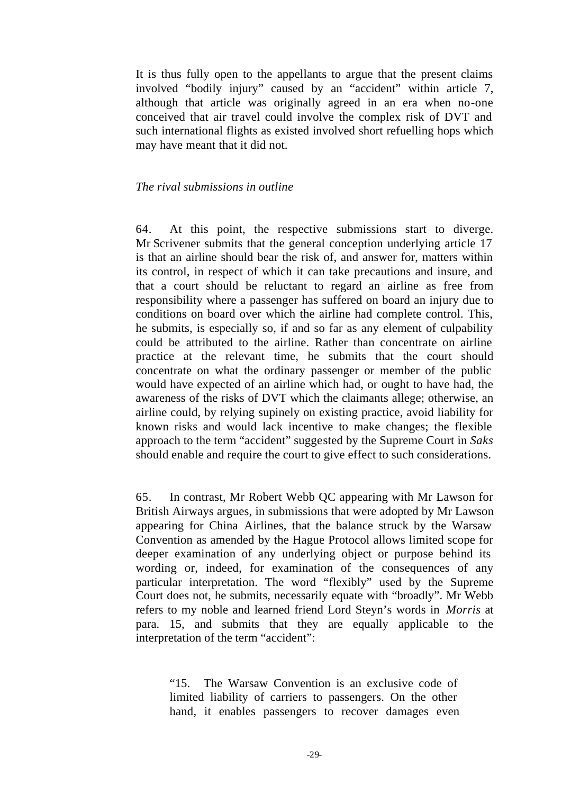It is thus fully open to the appellants to argue that the present claims involved "bodily injury" caused by an "accident" within article 7, although that article was originally agreed in an era when no-one conceived that air travel could involve the complex risk of DVT and such international flights as existed involved short refuelling hops which may have meant that it did not.

### *The rival submissions in outline*

64. At this point, the respective submissions start to diverge. Mr Scrivener submits that the general conception underlying article 17 is that an airline should bear the risk of, and answer for, matters within its control, in respect of which it can take precautions and insure, and that a court should be reluctant to regard an airline as free from responsibility where a passenger has suffered on board an injury due to conditions on board over which the airline had complete control. This, he submits, is especially so, if and so far as any element of culpability could be attributed to the airline. Rather than concentrate on airline practice at the relevant time, he submits that the court should concentrate on what the ordinary passenger or member of the public would have expected of an airline which had, or ought to have had, the awareness of the risks of DVT which the claimants allege; otherwise, an airline could, by relying supinely on existing practice, avoid liability for known risks and would lack incentive to make changes; the flexible approach to the term "accident" suggested by the Supreme Court in *Saks* should enable and require the court to give effect to such considerations.

65. In contrast, Mr Robert Webb QC appearing with Mr Lawson for British Airways argues, in submissions that were adopted by Mr Lawson appearing for China Airlines, that the balance struck by the Warsaw Convention as amended by the Hague Protocol allows limited scope for deeper examination of any underlying object or purpose behind its wording or, indeed, for examination of the consequences of any particular interpretation. The word "flexibly" used by the Supreme Court does not, he submits, necessarily equate with "broadly". Mr Webb refers to my noble and learned friend Lord Steyn's words in *Morris* at para. 15, and submits that they are equally applicable to the interpretation of the term "accident":

"15. The Warsaw Convention is an exclusive code of limited liability of carriers to passengers. On the other hand, it enables passengers to recover damages even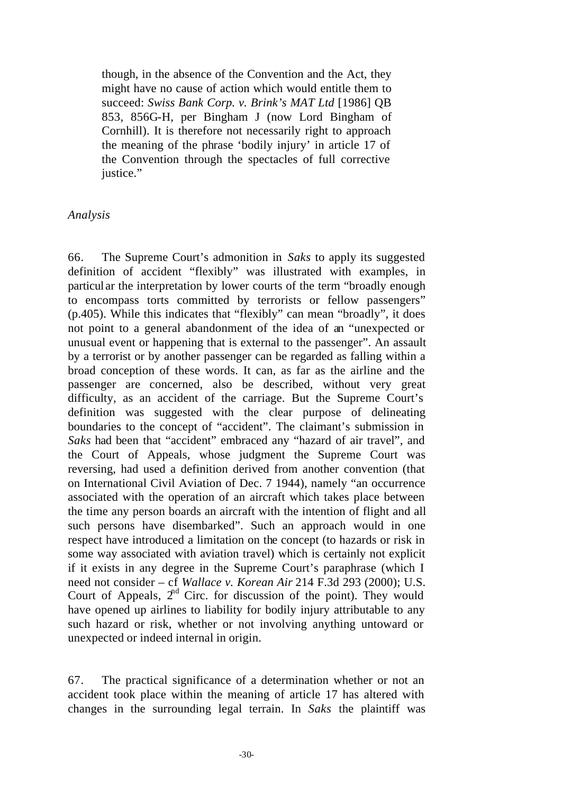though, in the absence of the Convention and the Act, they might have no cause of action which would entitle them to succeed: *Swiss Bank Corp. v. Brink's MAT Ltd* [1986] QB 853, 856G-H, per Bingham J (now Lord Bingham of Cornhill). It is therefore not necessarily right to approach the meaning of the phrase 'bodily injury' in article 17 of the Convention through the spectacles of full corrective justice."

## *Analysis*

66. The Supreme Court's admonition in *Saks* to apply its suggested definition of accident "flexibly" was illustrated with examples, in particular the interpretation by lower courts of the term "broadly enough to encompass torts committed by terrorists or fellow passengers" (p.405). While this indicates that "flexibly" can mean "broadly", it does not point to a general abandonment of the idea of an "unexpected or unusual event or happening that is external to the passenger". An assault by a terrorist or by another passenger can be regarded as falling within a broad conception of these words. It can, as far as the airline and the passenger are concerned, also be described, without very great difficulty, as an accident of the carriage. But the Supreme Court's definition was suggested with the clear purpose of delineating boundaries to the concept of "accident". The claimant's submission in *Saks* had been that "accident" embraced any "hazard of air travel", and the Court of Appeals, whose judgment the Supreme Court was reversing, had used a definition derived from another convention (that on International Civil Aviation of Dec. 7 1944), namely "an occurrence associated with the operation of an aircraft which takes place between the time any person boards an aircraft with the intention of flight and all such persons have disembarked". Such an approach would in one respect have introduced a limitation on the concept (to hazards or risk in some way associated with aviation travel) which is certainly not explicit if it exists in any degree in the Supreme Court's paraphrase (which I need not consider – cf *Wallace v. Korean Air* 214 F.3d 293 (2000); U.S. Court of Appeals,  $2<sup>nd</sup>$  Circ. for discussion of the point). They would have opened up airlines to liability for bodily injury attributable to any such hazard or risk, whether or not involving anything untoward or unexpected or indeed internal in origin.

67. The practical significance of a determination whether or not an accident took place within the meaning of article 17 has altered with changes in the surrounding legal terrain. In *Saks* the plaintiff was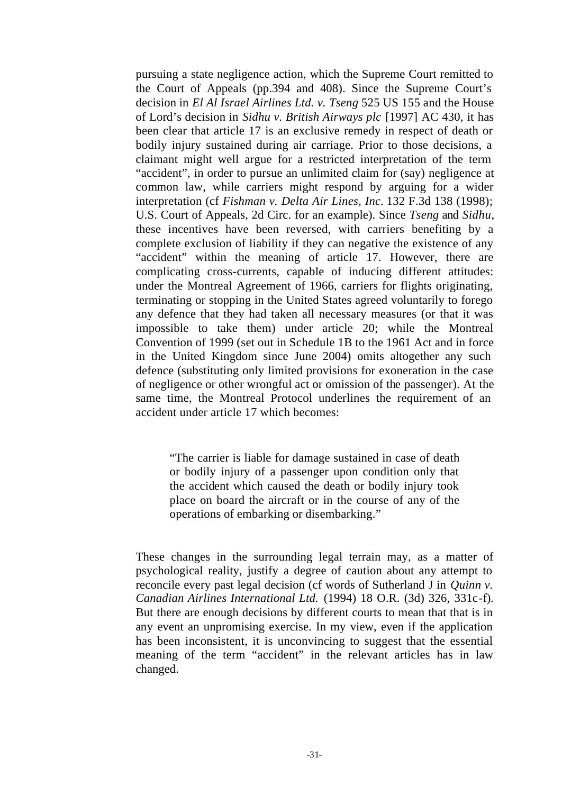pursuing a state negligence action, which the Supreme Court remitted to the Court of Appeals (pp.394 and 408). Since the Supreme Court's decision in *El Al Israel Airlines Ltd. v. Tseng* 525 US 155 and the House of Lord's decision in *Sidhu v. British Airways plc* [1997] AC 430, it has been clear that article 17 is an exclusive remedy in respect of death or bodily injury sustained during air carriage. Prior to those decisions, a claimant might well argue for a restricted interpretation of the term "accident", in order to pursue an unlimited claim for (say) negligence at common law, while carriers might respond by arguing for a wider interpretation (cf *Fishman v. Delta Air Lines, Inc.* 132 F.3d 138 (1998); U.S. Court of Appeals, 2d Circ. for an example). Since *Tseng* and *Sidhu*, these incentives have been reversed, with carriers benefiting by a complete exclusion of liability if they can negative the existence of any "accident" within the meaning of article 17. However, there are complicating cross-currents, capable of inducing different attitudes: under the Montreal Agreement of 1966, carriers for flights originating, terminating or stopping in the United States agreed voluntarily to forego any defence that they had taken all necessary measures (or that it was impossible to take them) under article 20; while the Montreal Convention of 1999 (set out in Schedule 1B to the 1961 Act and in force in the United Kingdom since June 2004) omits altogether any such defence (substituting only limited provisions for exoneration in the case of negligence or other wrongful act or omission of the passenger). At the same time, the Montreal Protocol underlines the requirement of an accident under article 17 which becomes:

"The carrier is liable for damage sustained in case of death or bodily injury of a passenger upon condition only that the accident which caused the death or bodily injury took place on board the aircraft or in the course of any of the operations of embarking or disembarking."

These changes in the surrounding legal terrain may, as a matter of psychological reality, justify a degree of caution about any attempt to reconcile every past legal decision (cf words of Sutherland J in *Quinn v. Canadian Airlines International Ltd.* (1994) 18 O.R. (3d) 326, 331c-f). But there are enough decisions by different courts to mean that that is in any event an unpromising exercise. In my view, even if the application has been inconsistent, it is unconvincing to suggest that the essential meaning of the term "accident" in the relevant articles has in law changed.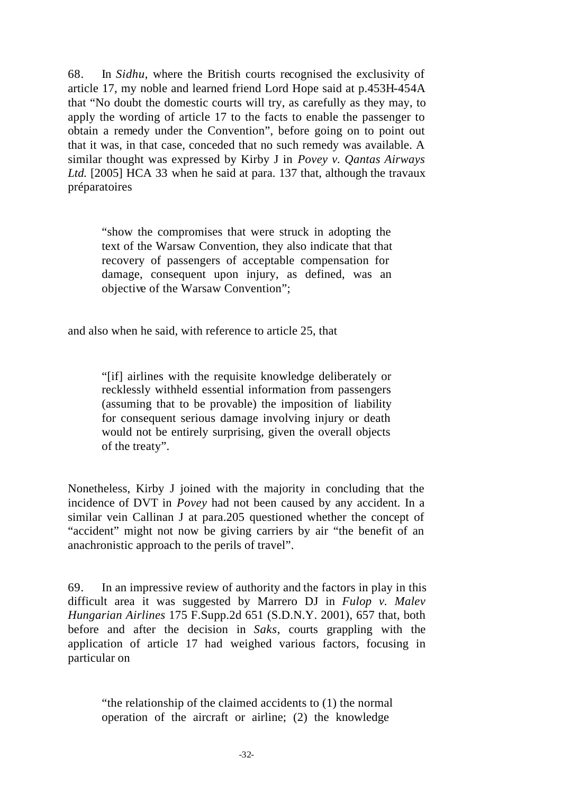68. In *Sidhu*, where the British courts recognised the exclusivity of article 17, my noble and learned friend Lord Hope said at p.453H-454A that "No doubt the domestic courts will try, as carefully as they may, to apply the wording of article 17 to the facts to enable the passenger to obtain a remedy under the Convention", before going on to point out that it was, in that case, conceded that no such remedy was available. A similar thought was expressed by Kirby J in *Povey v. Qantas Airways Ltd.* [2005] HCA 33 when he said at para. 137 that, although the travaux préparatoires

"show the compromises that were struck in adopting the text of the Warsaw Convention, they also indicate that that recovery of passengers of acceptable compensation for damage, consequent upon injury, as defined, was an objective of the Warsaw Convention";

and also when he said, with reference to article 25, that

"[if] airlines with the requisite knowledge deliberately or recklessly withheld essential information from passengers (assuming that to be provable) the imposition of liability for consequent serious damage involving injury or death would not be entirely surprising, given the overall objects of the treaty".

Nonetheless, Kirby J joined with the majority in concluding that the incidence of DVT in *Povey* had not been caused by any accident. In a similar vein Callinan J at para.205 questioned whether the concept of "accident" might not now be giving carriers by air "the benefit of an anachronistic approach to the perils of travel".

69. In an impressive review of authority and the factors in play in this difficult area it was suggested by Marrero DJ in *Fulop v. Malev Hungarian Airlines* 175 F.Supp.2d 651 (S.D.N.Y. 2001), 657 that, both before and after the decision in *Saks*, courts grappling with the application of article 17 had weighed various factors, focusing in particular on

"the relationship of the claimed accidents to (1) the normal operation of the aircraft or airline; (2) the knowledge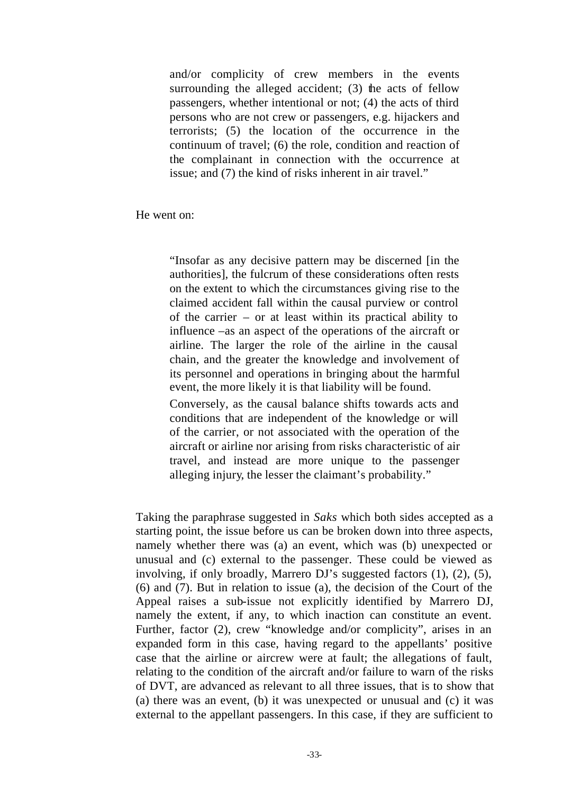and/or complicity of crew members in the events surrounding the alleged accident;  $(3)$  the acts of fellow passengers, whether intentional or not; (4) the acts of third persons who are not crew or passengers, e.g. hijackers and terrorists; (5) the location of the occurrence in the continuum of travel; (6) the role, condition and reaction of the complainant in connection with the occurrence at issue; and (7) the kind of risks inherent in air travel."

He went on:

"Insofar as any decisive pattern may be discerned [in the authorities], the fulcrum of these considerations often rests on the extent to which the circumstances giving rise to the claimed accident fall within the causal purview or control of the carrier – or at least within its practical ability to influence –as an aspect of the operations of the aircraft or airline. The larger the role of the airline in the causal chain, and the greater the knowledge and involvement of its personnel and operations in bringing about the harmful event, the more likely it is that liability will be found.

Conversely, as the causal balance shifts towards acts and conditions that are independent of the knowledge or will of the carrier, or not associated with the operation of the aircraft or airline nor arising from risks characteristic of air travel, and instead are more unique to the passenger alleging injury, the lesser the claimant's probability."

Taking the paraphrase suggested in *Saks* which both sides accepted as a starting point, the issue before us can be broken down into three aspects, namely whether there was (a) an event, which was (b) unexpected or unusual and (c) external to the passenger. These could be viewed as involving, if only broadly, Marrero DJ's suggested factors (1), (2), (5), (6) and (7). But in relation to issue (a), the decision of the Court of the Appeal raises a sub-issue not explicitly identified by Marrero DJ, namely the extent, if any, to which inaction can constitute an event. Further, factor (2), crew "knowledge and/or complicity", arises in an expanded form in this case, having regard to the appellants' positive case that the airline or aircrew were at fault; the allegations of fault, relating to the condition of the aircraft and/or failure to warn of the risks of DVT, are advanced as relevant to all three issues, that is to show that (a) there was an event, (b) it was unexpected or unusual and (c) it was external to the appellant passengers. In this case, if they are sufficient to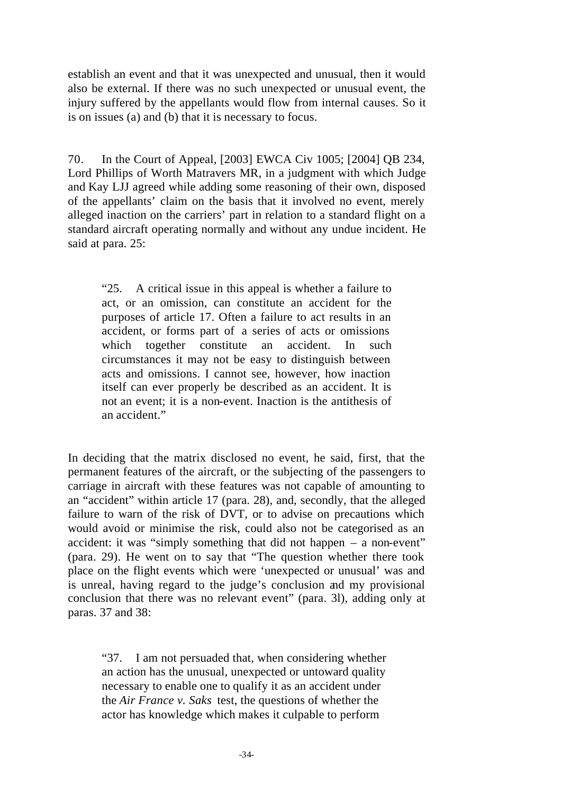establish an event and that it was unexpected and unusual, then it would also be external. If there was no such unexpected or unusual event, the injury suffered by the appellants would flow from internal causes. So it is on issues (a) and (b) that it is necessary to focus.

70. In the Court of Appeal, [2003] EWCA Civ 1005; [2004] QB 234, Lord Phillips of Worth Matravers MR, in a judgment with which Judge and Kay LJJ agreed while adding some reasoning of their own, disposed of the appellants' claim on the basis that it involved no event, merely alleged inaction on the carriers' part in relation to a standard flight on a standard aircraft operating normally and without any undue incident. He said at para. 25:

"25. A critical issue in this appeal is whether a failure to act, or an omission, can constitute an accident for the purposes of article 17. Often a failure to act results in an accident, or forms part of a series of acts or omissions which together constitute an accident. In such circumstances it may not be easy to distinguish between acts and omissions. I cannot see, however, how inaction itself can ever properly be described as an accident. It is not an event; it is a non-event. Inaction is the antithesis of an accident."

In deciding that the matrix disclosed no event, he said, first, that the permanent features of the aircraft, or the subjecting of the passengers to carriage in aircraft with these features was not capable of amounting to an "accident" within article 17 (para. 28), and, secondly, that the alleged failure to warn of the risk of DVT, or to advise on precautions which would avoid or minimise the risk, could also not be categorised as an accident: it was "simply something that did not happen – a non-event" (para. 29). He went on to say that "The question whether there took place on the flight events which were 'unexpected or unusual' was and is unreal, having regard to the judge's conclusion and my provisional conclusion that there was no relevant event" (para. 3l), adding only at paras. 37 and 38:

"37. I am not persuaded that, when considering whether an action has the unusual, unexpected or untoward quality necessary to enable one to qualify it as an accident under the *Air France v. Saks* test, the questions of whether the actor has knowledge which makes it culpable to perform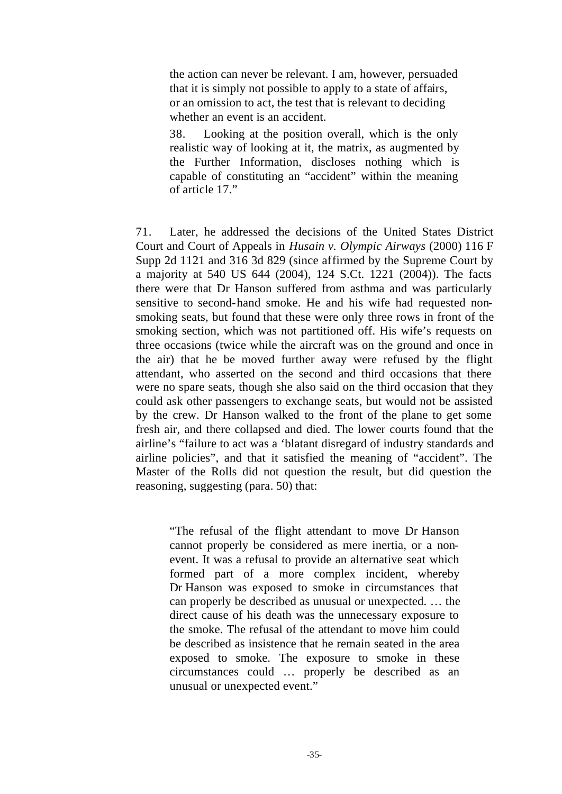the action can never be relevant. I am, however, persuaded that it is simply not possible to apply to a state of affairs, or an omission to act, the test that is relevant to deciding whether an event is an accident.

38. Looking at the position overall, which is the only realistic way of looking at it, the matrix, as augmented by the Further Information, discloses nothing which is capable of constituting an "accident" within the meaning of article 17."

71. Later, he addressed the decisions of the United States District Court and Court of Appeals in *Husain v. Olympic Airways* (2000) 116 F Supp 2d 1121 and 316 3d 829 (since affirmed by the Supreme Court by a majority at 540 US 644 (2004), 124 S.Ct. 1221 (2004)). The facts there were that Dr Hanson suffered from asthma and was particularly sensitive to second-hand smoke. He and his wife had requested nonsmoking seats, but found that these were only three rows in front of the smoking section, which was not partitioned off. His wife's requests on three occasions (twice while the aircraft was on the ground and once in the air) that he be moved further away were refused by the flight attendant, who asserted on the second and third occasions that there were no spare seats, though she also said on the third occasion that they could ask other passengers to exchange seats, but would not be assisted by the crew. Dr Hanson walked to the front of the plane to get some fresh air, and there collapsed and died. The lower courts found that the airline's "failure to act was a 'blatant disregard of industry standards and airline policies", and that it satisfied the meaning of "accident". The Master of the Rolls did not question the result, but did question the reasoning, suggesting (para. 50) that:

"The refusal of the flight attendant to move Dr Hanson cannot properly be considered as mere inertia, or a nonevent. It was a refusal to provide an alternative seat which formed part of a more complex incident, whereby Dr Hanson was exposed to smoke in circumstances that can properly be described as unusual or unexpected. … the direct cause of his death was the unnecessary exposure to the smoke. The refusal of the attendant to move him could be described as insistence that he remain seated in the area exposed to smoke. The exposure to smoke in these circumstances could … properly be described as an unusual or unexpected event."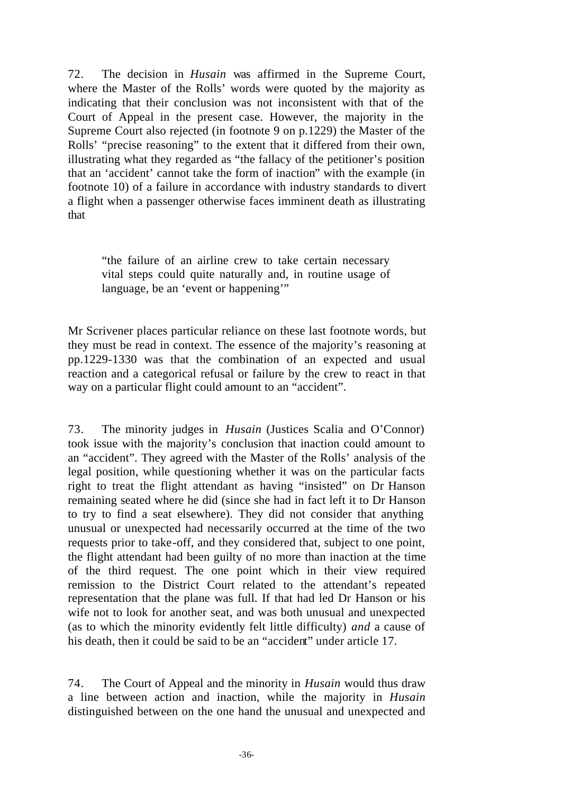72. The decision in *Husain* was affirmed in the Supreme Court, where the Master of the Rolls' words were quoted by the majority as indicating that their conclusion was not inconsistent with that of the Court of Appeal in the present case. However, the majority in the Supreme Court also rejected (in footnote 9 on p.1229) the Master of the Rolls' "precise reasoning" to the extent that it differed from their own, illustrating what they regarded as "the fallacy of the petitioner's position that an 'accident' cannot take the form of inaction" with the example (in footnote 10) of a failure in accordance with industry standards to divert a flight when a passenger otherwise faces imminent death as illustrating that

"the failure of an airline crew to take certain necessary vital steps could quite naturally and, in routine usage of language, be an 'event or happening'"

Mr Scrivener places particular reliance on these last footnote words, but they must be read in context. The essence of the majority's reasoning at pp.1229-1330 was that the combination of an expected and usual reaction and a categorical refusal or failure by the crew to react in that way on a particular flight could amount to an "accident".

73. The minority judges in *Husain* (Justices Scalia and O'Connor) took issue with the majority's conclusion that inaction could amount to an "accident". They agreed with the Master of the Rolls' analysis of the legal position, while questioning whether it was on the particular facts right to treat the flight attendant as having "insisted" on Dr Hanson remaining seated where he did (since she had in fact left it to Dr Hanson to try to find a seat elsewhere). They did not consider that anything unusual or unexpected had necessarily occurred at the time of the two requests prior to take-off, and they considered that, subject to one point, the flight attendant had been guilty of no more than inaction at the time of the third request. The one point which in their view required remission to the District Court related to the attendant's repeated representation that the plane was full. If that had led Dr Hanson or his wife not to look for another seat, and was both unusual and unexpected (as to which the minority evidently felt little difficulty) *and* a cause of his death, then it could be said to be an "accident" under article 17.

74. The Court of Appeal and the minority in *Husain* would thus draw a line between action and inaction, while the majority in *Husain*  distinguished between on the one hand the unusual and unexpected and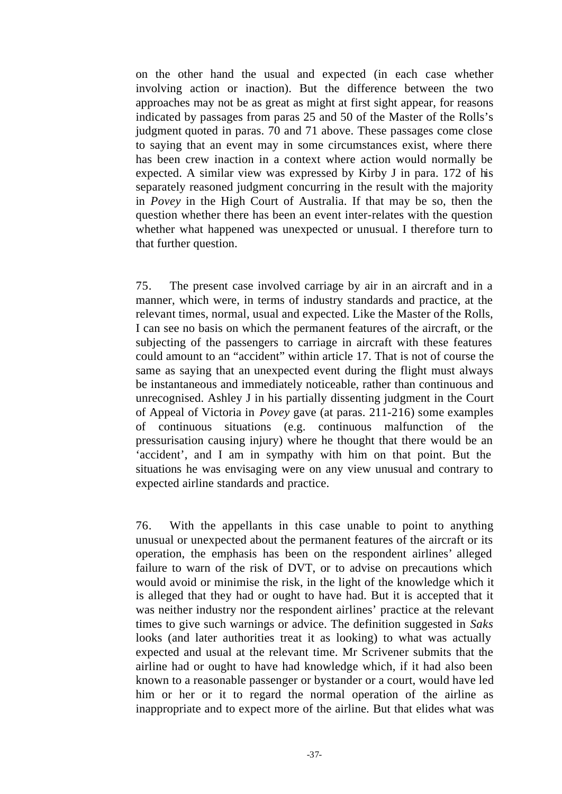on the other hand the usual and expected (in each case whether involving action or inaction). But the difference between the two approaches may not be as great as might at first sight appear, for reasons indicated by passages from paras 25 and 50 of the Master of the Rolls's judgment quoted in paras. 70 and 71 above. These passages come close to saying that an event may in some circumstances exist, where there has been crew inaction in a context where action would normally be expected. A similar view was expressed by Kirby J in para. 172 of his separately reasoned judgment concurring in the result with the majority in *Povey* in the High Court of Australia. If that may be so, then the question whether there has been an event inter-relates with the question whether what happened was unexpected or unusual. I therefore turn to that further question.

75. The present case involved carriage by air in an aircraft and in a manner, which were, in terms of industry standards and practice, at the relevant times, normal, usual and expected. Like the Master of the Rolls, I can see no basis on which the permanent features of the aircraft, or the subjecting of the passengers to carriage in aircraft with these features could amount to an "accident" within article 17. That is not of course the same as saying that an unexpected event during the flight must always be instantaneous and immediately noticeable, rather than continuous and unrecognised. Ashley J in his partially dissenting judgment in the Court of Appeal of Victoria in *Povey* gave (at paras. 211-216) some examples of continuous situations (e.g. continuous malfunction of the pressurisation causing injury) where he thought that there would be an 'accident', and I am in sympathy with him on that point. But the situations he was envisaging were on any view unusual and contrary to expected airline standards and practice.

76. With the appellants in this case unable to point to anything unusual or unexpected about the permanent features of the aircraft or its operation, the emphasis has been on the respondent airlines' alleged failure to warn of the risk of DVT, or to advise on precautions which would avoid or minimise the risk, in the light of the knowledge which it is alleged that they had or ought to have had. But it is accepted that it was neither industry nor the respondent airlines' practice at the relevant times to give such warnings or advice. The definition suggested in *Saks*  looks (and later authorities treat it as looking) to what was actually expected and usual at the relevant time. Mr Scrivener submits that the airline had or ought to have had knowledge which, if it had also been known to a reasonable passenger or bystander or a court, would have led him or her or it to regard the normal operation of the airline as inappropriate and to expect more of the airline. But that elides what was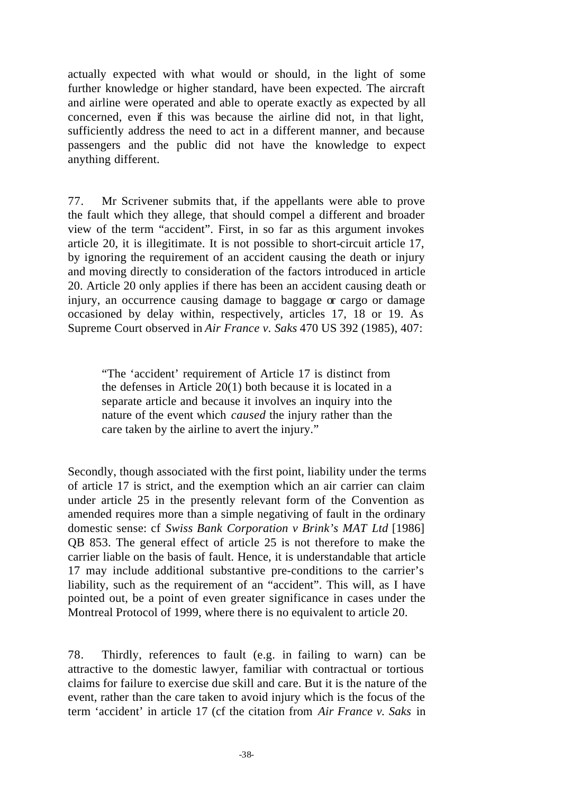actually expected with what would or should, in the light of some further knowledge or higher standard, have been expected. The aircraft and airline were operated and able to operate exactly as expected by all concerned, even if this was because the airline did not, in that light, sufficiently address the need to act in a different manner, and because passengers and the public did not have the knowledge to expect anything different.

77. Mr Scrivener submits that, if the appellants were able to prove the fault which they allege, that should compel a different and broader view of the term "accident". First, in so far as this argument invokes article 20, it is illegitimate. It is not possible to short-circuit article 17, by ignoring the requirement of an accident causing the death or injury and moving directly to consideration of the factors introduced in article 20. Article 20 only applies if there has been an accident causing death or injury, an occurrence causing damage to baggage or cargo or damage occasioned by delay within, respectively, articles 17, 18 or 19. As Supreme Court observed in *Air France v. Saks* 470 US 392 (1985), 407:

"The 'accident' requirement of Article 17 is distinct from the defenses in Article 20(1) both because it is located in a separate article and because it involves an inquiry into the nature of the event which *caused* the injury rather than the care taken by the airline to avert the injury."

Secondly, though associated with the first point, liability under the terms of article 17 is strict, and the exemption which an air carrier can claim under article 25 in the presently relevant form of the Convention as amended requires more than a simple negativing of fault in the ordinary domestic sense: cf *Swiss Bank Corporation v Brink's MAT Ltd* [1986] QB 853. The general effect of article 25 is not therefore to make the carrier liable on the basis of fault. Hence, it is understandable that article 17 may include additional substantive pre-conditions to the carrier's liability, such as the requirement of an "accident". This will, as I have pointed out, be a point of even greater significance in cases under the Montreal Protocol of 1999, where there is no equivalent to article 20.

78. Thirdly, references to fault (e.g. in failing to warn) can be attractive to the domestic lawyer, familiar with contractual or tortious claims for failure to exercise due skill and care. But it is the nature of the event, rather than the care taken to avoid injury which is the focus of the term 'accident' in article 17 (cf the citation from *Air France v. Saks* in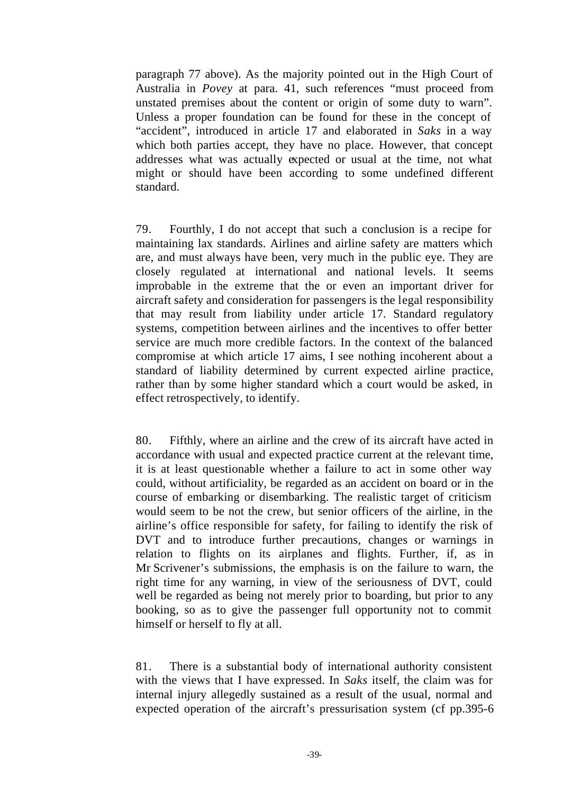paragraph 77 above). As the majority pointed out in the High Court of Australia in *Povey* at para. 41, such references "must proceed from unstated premises about the content or origin of some duty to warn". Unless a proper foundation can be found for these in the concept of "accident", introduced in article 17 and elaborated in *Saks* in a way which both parties accept, they have no place. However, that concept addresses what was actually expected or usual at the time, not what might or should have been according to some undefined different standard.

79. Fourthly, I do not accept that such a conclusion is a recipe for maintaining lax standards. Airlines and airline safety are matters which are, and must always have been, very much in the public eye. They are closely regulated at international and national levels. It seems improbable in the extreme that the or even an important driver for aircraft safety and consideration for passengers is the legal responsibility that may result from liability under article 17. Standard regulatory systems, competition between airlines and the incentives to offer better service are much more credible factors. In the context of the balanced compromise at which article 17 aims, I see nothing incoherent about a standard of liability determined by current expected airline practice, rather than by some higher standard which a court would be asked, in effect retrospectively, to identify.

80. Fifthly, where an airline and the crew of its aircraft have acted in accordance with usual and expected practice current at the relevant time, it is at least questionable whether a failure to act in some other way could, without artificiality, be regarded as an accident on board or in the course of embarking or disembarking. The realistic target of criticism would seem to be not the crew, but senior officers of the airline, in the airline's office responsible for safety, for failing to identify the risk of DVT and to introduce further precautions, changes or warnings in relation to flights on its airplanes and flights. Further, if, as in Mr Scrivener's submissions, the emphasis is on the failure to warn, the right time for any warning, in view of the seriousness of DVT, could well be regarded as being not merely prior to boarding, but prior to any booking, so as to give the passenger full opportunity not to commit himself or herself to fly at all.

81. There is a substantial body of international authority consistent with the views that I have expressed. In *Saks* itself, the claim was for internal injury allegedly sustained as a result of the usual, normal and expected operation of the aircraft's pressurisation system (cf pp.395-6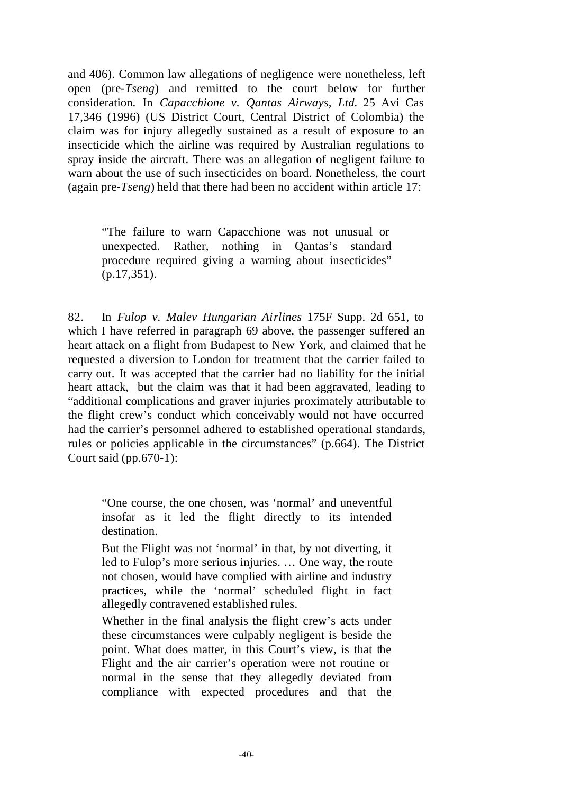and 406). Common law allegations of negligence were nonetheless, left open (pre-*Tseng*) and remitted to the court below for further consideration. In *Capacchione v. Qantas Airways, Ltd.* 25 Avi Cas 17,346 (1996) (US District Court, Central District of Colombia) the claim was for injury allegedly sustained as a result of exposure to an insecticide which the airline was required by Australian regulations to spray inside the aircraft. There was an allegation of negligent failure to warn about the use of such insecticides on board. Nonetheless, the court (again pre-*Tseng*) held that there had been no accident within article 17:

"The failure to warn Capacchione was not unusual or unexpected. Rather, nothing in Qantas's standard procedure required giving a warning about insecticides" (p.17,351).

82. In *Fulop v. Malev Hungarian Airlines* 175F Supp. 2d 651, to which I have referred in paragraph 69 above, the passenger suffered an heart attack on a flight from Budapest to New York, and claimed that he requested a diversion to London for treatment that the carrier failed to carry out. It was accepted that the carrier had no liability for the initial heart attack, but the claim was that it had been aggravated, leading to "additional complications and graver injuries proximately attributable to the flight crew's conduct which conceivably would not have occurred had the carrier's personnel adhered to established operational standards, rules or policies applicable in the circumstances" (p.664). The District Court said (pp.670-1):

"One course, the one chosen, was 'normal' and uneventful insofar as it led the flight directly to its intended destination.

But the Flight was not 'normal' in that, by not diverting, it led to Fulop's more serious injuries. … One way, the route not chosen, would have complied with airline and industry practices, while the 'normal' scheduled flight in fact allegedly contravened established rules.

Whether in the final analysis the flight crew's acts under these circumstances were culpably negligent is beside the point. What does matter, in this Court's view, is that the Flight and the air carrier's operation were not routine or normal in the sense that they allegedly deviated from compliance with expected procedures and that the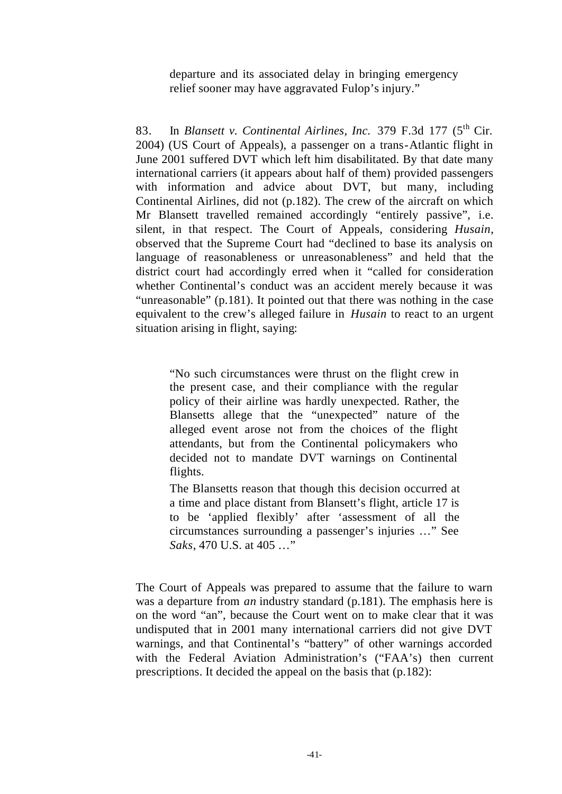departure and its associated delay in bringing emergency relief sooner may have aggravated Fulop's injury."

83. In *Blansett v. Continental Airlines, Inc.* 379 F.3d 177 (5<sup>th</sup> Cir. 2004) (US Court of Appeals), a passenger on a trans-Atlantic flight in June 2001 suffered DVT which left him disabilitated. By that date many international carriers (it appears about half of them) provided passengers with information and advice about DVT, but many, including Continental Airlines, did not (p.182). The crew of the aircraft on which Mr Blansett travelled remained accordingly "entirely passive", i.e. silent, in that respect. The Court of Appeals, considering *Husain*, observed that the Supreme Court had "declined to base its analysis on language of reasonableness or unreasonableness" and held that the district court had accordingly erred when it "called for consideration whether Continental's conduct was an accident merely because it was "unreasonable" (p.181). It pointed out that there was nothing in the case equivalent to the crew's alleged failure in *Husain* to react to an urgent situation arising in flight, saying:

"No such circumstances were thrust on the flight crew in the present case, and their compliance with the regular policy of their airline was hardly unexpected. Rather, the Blansetts allege that the "unexpected" nature of the alleged event arose not from the choices of the flight attendants, but from the Continental policymakers who decided not to mandate DVT warnings on Continental flights.

The Blansetts reason that though this decision occurred at a time and place distant from Blansett's flight, article 17 is to be 'applied flexibly' after 'assessment of all the circumstances surrounding a passenger's injuries …" See *Saks*, 470 U.S. at 405 …"

The Court of Appeals was prepared to assume that the failure to warn was a departure from *an* industry standard (p.181). The emphasis here is on the word "an", because the Court went on to make clear that it was undisputed that in 2001 many international carriers did not give DVT warnings, and that Continental's "battery" of other warnings accorded with the Federal Aviation Administration's ("FAA's) then current prescriptions. It decided the appeal on the basis that (p.182):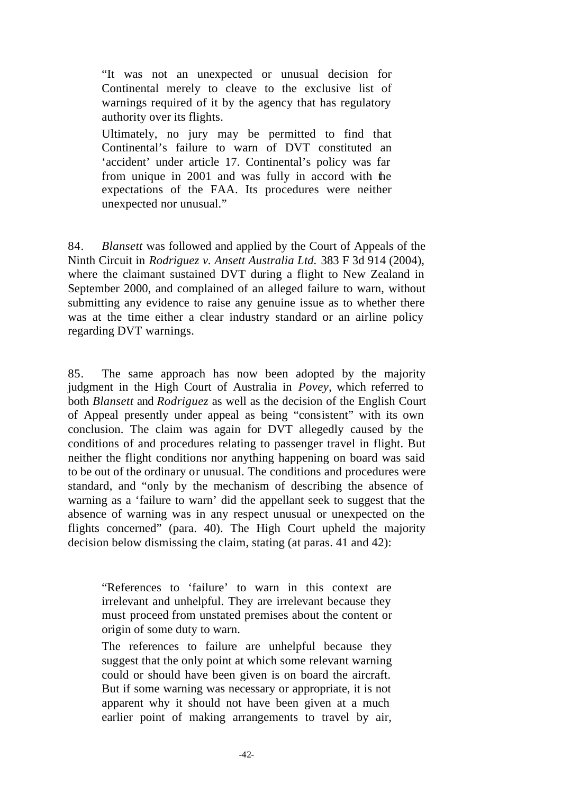"It was not an unexpected or unusual decision for Continental merely to cleave to the exclusive list of warnings required of it by the agency that has regulatory authority over its flights.

Ultimately, no jury may be permitted to find that Continental's failure to warn of DVT constituted an 'accident' under article 17. Continental's policy was far from unique in 2001 and was fully in accord with the expectations of the FAA. Its procedures were neither unexpected nor unusual."

84. *Blansett* was followed and applied by the Court of Appeals of the Ninth Circuit in *Rodriguez v. Ansett Australia Ltd.* 383 F 3d 914 (2004), where the claimant sustained DVT during a flight to New Zealand in September 2000, and complained of an alleged failure to warn, without submitting any evidence to raise any genuine issue as to whether there was at the time either a clear industry standard or an airline policy regarding DVT warnings.

85. The same approach has now been adopted by the majority judgment in the High Court of Australia in *Povey*, which referred to both *Blansett* and *Rodriguez* as well as the decision of the English Court of Appeal presently under appeal as being "consistent" with its own conclusion. The claim was again for DVT allegedly caused by the conditions of and procedures relating to passenger travel in flight. But neither the flight conditions nor anything happening on board was said to be out of the ordinary or unusual. The conditions and procedures were standard, and "only by the mechanism of describing the absence of warning as a 'failure to warn' did the appellant seek to suggest that the absence of warning was in any respect unusual or unexpected on the flights concerned" (para. 40). The High Court upheld the majority decision below dismissing the claim, stating (at paras. 41 and 42):

"References to 'failure' to warn in this context are irrelevant and unhelpful. They are irrelevant because they must proceed from unstated premises about the content or origin of some duty to warn.

The references to failure are unhelpful because they suggest that the only point at which some relevant warning could or should have been given is on board the aircraft. But if some warning was necessary or appropriate, it is not apparent why it should not have been given at a much earlier point of making arrangements to travel by air,